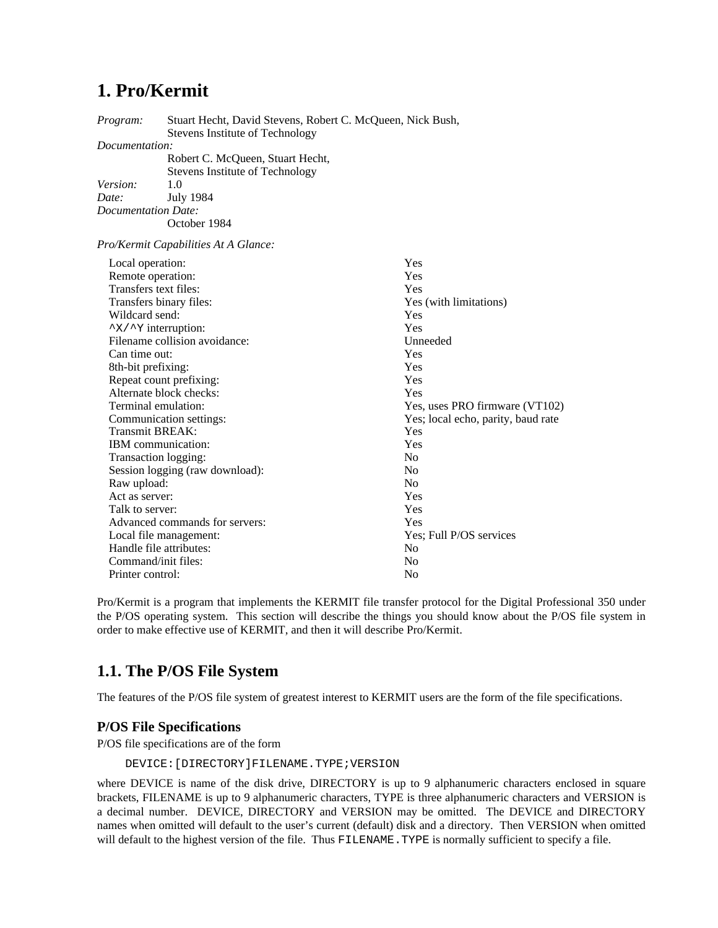# **1. Pro/Kermit**

*Program:* Stuart Hecht, David Stevens, Robert C. McQueen, Nick Bush, Stevens Institute of Technology *Documentation:* Robert C. McQueen, Stuart Hecht, Stevens Institute of Technology *Version:* 1.0 *Date:* July 1984 *Documentation Date:* October 1984 *Pro/Kermit Capabilities At A Glance:* Local operation: Yes<br>
Remote operation: Yes<br>
Yes Remote operation: Transfers text files: Yes Transfers binary files: Yes (with limitations) Wildcard send: Yes ^X/^Y interruption: Yes Filename collision avoidance: Unneeded Can time out: Yes<br>
8th-bit prefixing: Yes<br>
Yes 8th-bit prefixing: Repeat count prefixing: Yes Alternate block checks:<br>
Terminal emulation:<br>
Yes. Terminal emulation: Yes, uses PRO firmware (VT102)<br>
Communication settings: Yes; local echo, parity, baud rate Yes; local echo, parity, baud rate Transmit BREAK: Yes IBM communication: Yes Transaction logging: No Session logging (raw download): No

Raw upload: No<br>Act as server: Yes Act as server: Talk to server: Yes Advanced commands for servers:<br>
Local file management: Yes: Full P/OS services Local file management: Handle file attributes: No<br>
Command/init files: No Command/init files: Printer control: No

Pro/Kermit is a program that implements the KERMIT file transfer protocol for the Digital Professional 350 under the P/OS operating system. This section will describe the things you should know about the P/OS file system in order to make effective use of KERMIT, and then it will describe Pro/Kermit.

# **1.1. The P/OS File System**

The features of the P/OS file system of greatest interest to KERMIT users are the form of the file specifications.

# **P/OS File Specifications**

P/OS file specifications are of the form

#### DEVICE:[DIRECTORY]FILENAME.TYPE;VERSION

where DEVICE is name of the disk drive, DIRECTORY is up to 9 alphanumeric characters enclosed in square brackets, FILENAME is up to 9 alphanumeric characters, TYPE is three alphanumeric characters and VERSION is a decimal number. DEVICE, DIRECTORY and VERSION may be omitted. The DEVICE and DIRECTORY names when omitted will default to the user's current (default) disk and a directory. Then VERSION when omitted will default to the highest version of the file. Thus FILENAME. TYPE is normally sufficient to specify a file.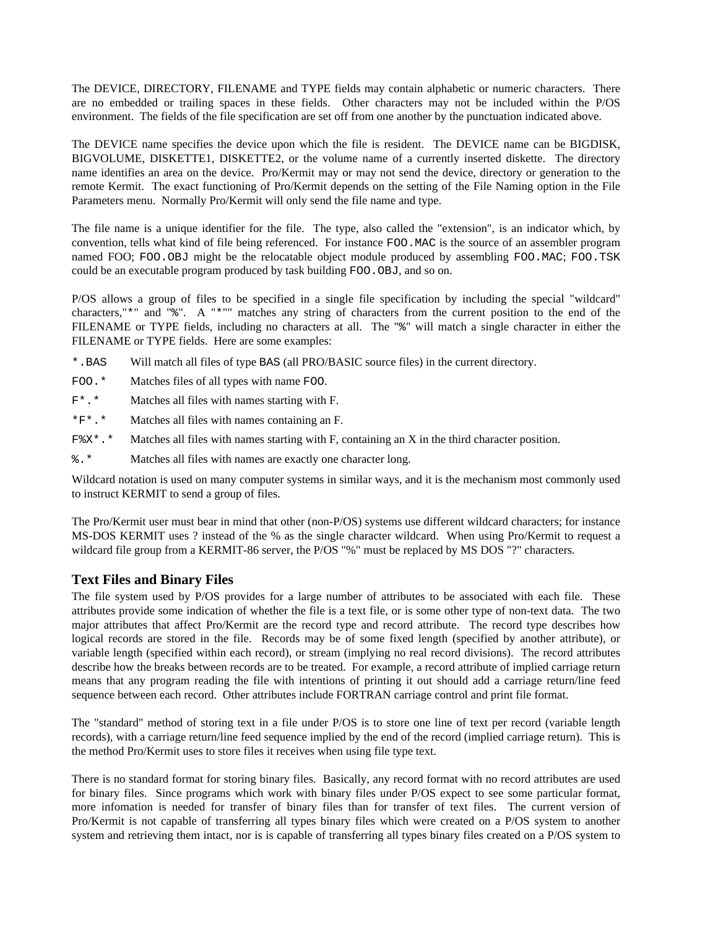The DEVICE, DIRECTORY, FILENAME and TYPE fields may contain alphabetic or numeric characters. There are no embedded or trailing spaces in these fields. Other characters may not be included within the P/OS environment. The fields of the file specification are set off from one another by the punctuation indicated above.

The DEVICE name specifies the device upon which the file is resident. The DEVICE name can be BIGDISK, BIGVOLUME, DISKETTE1, DISKETTE2, or the volume name of a currently inserted diskette. The directory name identifies an area on the device. Pro/Kermit may or may not send the device, directory or generation to the remote Kermit. The exact functioning of Pro/Kermit depends on the setting of the File Naming option in the File Parameters menu. Normally Pro/Kermit will only send the file name and type.

The file name is a unique identifier for the file. The type, also called the "extension", is an indicator which, by convention, tells what kind of file being referenced. For instance FOO.MAC is the source of an assembler program named FOO; FOO.OBJ might be the relocatable object module produced by assembling FOO.MAC; FOO.TSK could be an executable program produced by task building FOO.OBJ, and so on.

P/OS allows a group of files to be specified in a single file specification by including the special "wildcard" characters,"\*" and "%". A "\*"" matches any string of characters from the current position to the end of the FILENAME or TYPE fields, including no characters at all. The "%" will match a single character in either the FILENAME or TYPE fields. Here are some examples:

- \*.BAS Will match all files of type BAS (all PRO/BASIC source files) in the current directory.
- FOO.\* Matches files of all types with name FOO.
- F\*.\* Matches all files with names starting with F.
- \*F\*.\* Matches all files with names containing an F.
- F%X\*.\* Matches all files with names starting with F, containing an X in the third character position.
- %.\* Matches all files with names are exactly one character long.

Wildcard notation is used on many computer systems in similar ways, and it is the mechanism most commonly used to instruct KERMIT to send a group of files.

The Pro/Kermit user must bear in mind that other (non-P/OS) systems use different wildcard characters; for instance MS-DOS KERMIT uses ? instead of the % as the single character wildcard. When using Pro/Kermit to request a wildcard file group from a KERMIT-86 server, the P/OS "%" must be replaced by MS DOS "?" characters.

# **Text Files and Binary Files**

The file system used by P/OS provides for a large number of attributes to be associated with each file. These attributes provide some indication of whether the file is a text file, or is some other type of non-text data. The two major attributes that affect Pro/Kermit are the record type and record attribute. The record type describes how logical records are stored in the file. Records may be of some fixed length (specified by another attribute), or variable length (specified within each record), or stream (implying no real record divisions). The record attributes describe how the breaks between records are to be treated. For example, a record attribute of implied carriage return means that any program reading the file with intentions of printing it out should add a carriage return/line feed sequence between each record. Other attributes include FORTRAN carriage control and print file format.

The "standard" method of storing text in a file under P/OS is to store one line of text per record (variable length records), with a carriage return/line feed sequence implied by the end of the record (implied carriage return). This is the method Pro/Kermit uses to store files it receives when using file type text.

There is no standard format for storing binary files. Basically, any record format with no record attributes are used for binary files. Since programs which work with binary files under P/OS expect to see some particular format, more infomation is needed for transfer of binary files than for transfer of text files. The current version of Pro/Kermit is not capable of transferring all types binary files which were created on a P/OS system to another system and retrieving them intact, nor is is capable of transferring all types binary files created on a P/OS system to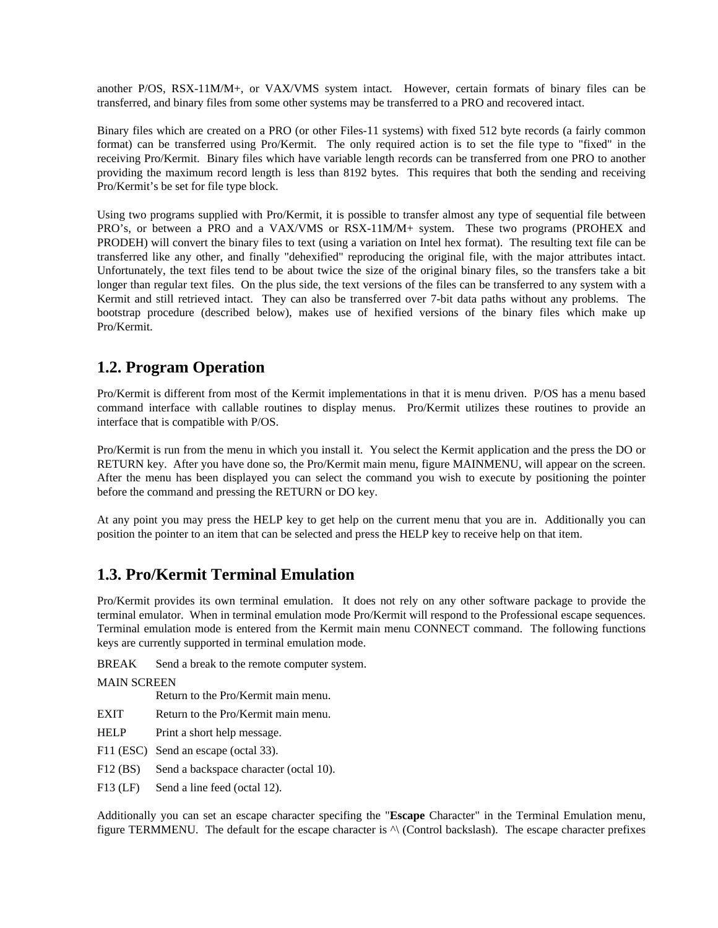another P/OS, RSX-11M/M+, or VAX/VMS system intact. However, certain formats of binary files can be transferred, and binary files from some other systems may be transferred to a PRO and recovered intact.

Binary files which are created on a PRO (or other Files-11 systems) with fixed 512 byte records (a fairly common format) can be transferred using Pro/Kermit. The only required action is to set the file type to "fixed" in the receiving Pro/Kermit. Binary files which have variable length records can be transferred from one PRO to another providing the maximum record length is less than 8192 bytes. This requires that both the sending and receiving Pro/Kermit's be set for file type block.

Using two programs supplied with Pro/Kermit, it is possible to transfer almost any type of sequential file between PRO's, or between a PRO and a VAX/VMS or RSX-11M/M+ system. These two programs (PROHEX and PRODEH) will convert the binary files to text (using a variation on Intel hex format). The resulting text file can be transferred like any other, and finally "dehexified" reproducing the original file, with the major attributes intact. Unfortunately, the text files tend to be about twice the size of the original binary files, so the transfers take a bit longer than regular text files. On the plus side, the text versions of the files can be transferred to any system with a Kermit and still retrieved intact. They can also be transferred over 7-bit data paths without any problems. The bootstrap procedure (described below), makes use of hexified versions of the binary files which make up Pro/Kermit.

# **1.2. Program Operation**

Pro/Kermit is different from most of the Kermit implementations in that it is menu driven. P/OS has a menu based command interface with callable routines to display menus. Pro/Kermit utilizes these routines to provide an interface that is compatible with P/OS.

Pro/Kermit is run from the menu in which you install it. You select the Kermit application and the press the DO or RETURN key. After you have done so, the Pro/Kermit main menu, figure MAINMENU, will appear on the screen. After the menu has been displayed you can select the command you wish to execute by positioning the pointer before the command and pressing the RETURN or DO key.

At any point you may press the HELP key to get help on the current menu that you are in. Additionally you can position the pointer to an item that can be selected and press the HELP key to receive help on that item.

# **1.3. Pro/Kermit Terminal Emulation**

Pro/Kermit provides its own terminal emulation. It does not rely on any other software package to provide the terminal emulator. When in terminal emulation mode Pro/Kermit will respond to the Professional escape sequences. Terminal emulation mode is entered from the Kermit main menu CONNECT command. The following functions keys are currently supported in terminal emulation mode.

BREAK Send a break to the remote computer system.

MAIN SCREEN

Return to the Pro/Kermit main menu.

- EXIT Return to the Pro/Kermit main menu.
- HELP Print a short help message.
- F11 (ESC) Send an escape (octal 33).
- F12 (BS) Send a backspace character (octal 10).
- F13 (LF) Send a line feed (octal 12).

Additionally you can set an escape character specifing the "**Escape** Character" in the Terminal Emulation menu, figure TERMMENU. The default for the escape character is ^\ (Control backslash). The escape character prefixes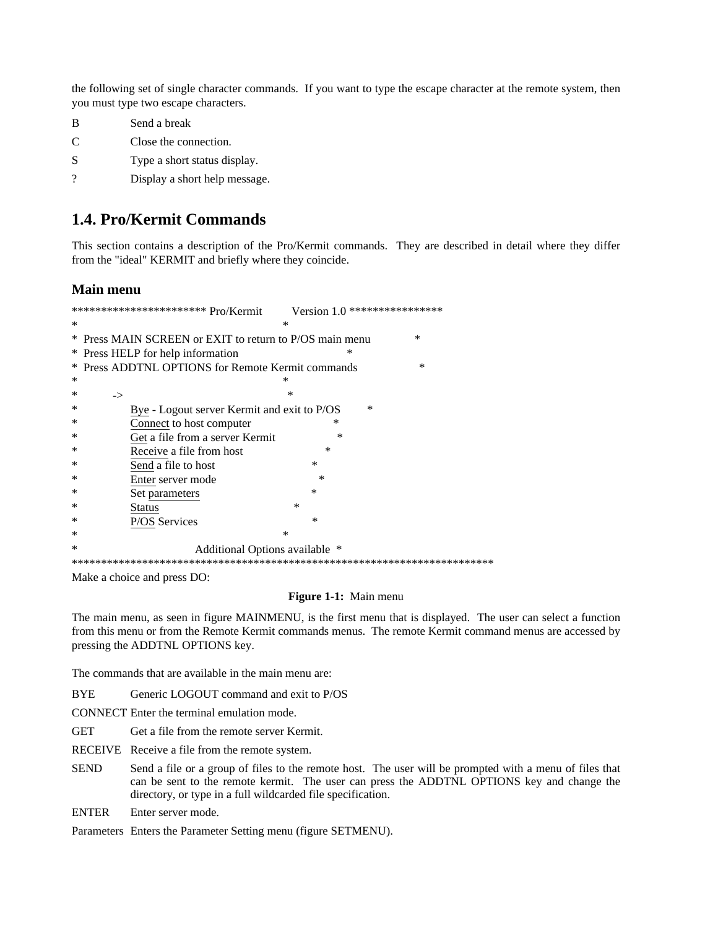the following set of single character commands. If you want to type the escape character at the remote system, then you must type two escape characters.

| в | Send a break                  |
|---|-------------------------------|
| C | Close the connection.         |
| S | Type a short status display.  |
| 9 | Display a short help message. |

# **1.4. Pro/Kermit Commands**

This section contains a description of the Pro/Kermit commands. They are described in detail where they differ from the "ideal" KERMIT and briefly where they coincide.

# **Main menu**

| ************************ Pro/Kermit<br>Version 1.0 ***************** |           |  |
|----------------------------------------------------------------------|-----------|--|
| *                                                                    | ∗         |  |
| * Press MAIN SCREEN or EXIT to return to P/OS main menu              | $\ast$    |  |
| * Press HELP for help information                                    | ∗         |  |
| Press ADDTNL OPTIONS for Remote Kermit commands<br>∗                 | *         |  |
| ∗                                                                    | ∗         |  |
| ∗<br>$\rightarrow$                                                   | $\ast$    |  |
| ∗<br>Bye - Logout server Kermit and exit to P/OS                     | $\ast$    |  |
| Connect to host computer                                             | ∗         |  |
| Get a file from a server Kermit<br>∗                                 | ∗         |  |
| Receive a file from host<br>∗                                        | $\ast$    |  |
| Send a file to host<br>∗                                             | $\ast$    |  |
| ∗<br>Enter server mode                                               | ∗         |  |
| ∗<br>Set parameters                                                  | $\ast$    |  |
| ∗<br>Status                                                          | $^{\ast}$ |  |
| P/OS Services<br>∗                                                   | $\ast$    |  |
| ∗                                                                    | *         |  |
| ∗<br>Additional Options available *                                  |           |  |
|                                                                      |           |  |

Make a choice and press DO:

#### Figure 1-1: Main menu

The main menu, as seen in figure MAINMENU, is the first menu that is displayed. The user can select a function from this menu or from the Remote Kermit commands menus. The remote Kermit command menus are accessed by pressing the ADDTNL OPTIONS key.

The commands that are available in the main menu are:

**BYE** Generic LOGOUT command and exit to P/OS

CONNECT Enter the terminal emulation mode.

**GET** Get a file from the remote server Kermit.

RECEIVE Receive a file from the remote system.

- **SEND** Send a file or a group of files to the remote host. The user will be prompted with a menu of files that can be sent to the remote kermit. The user can press the ADDTNL OPTIONS key and change the directory, or type in a full wildcarded file specification.
- **ENTER** Enter server mode.

Parameters Enters the Parameter Setting menu (figure SETMENU).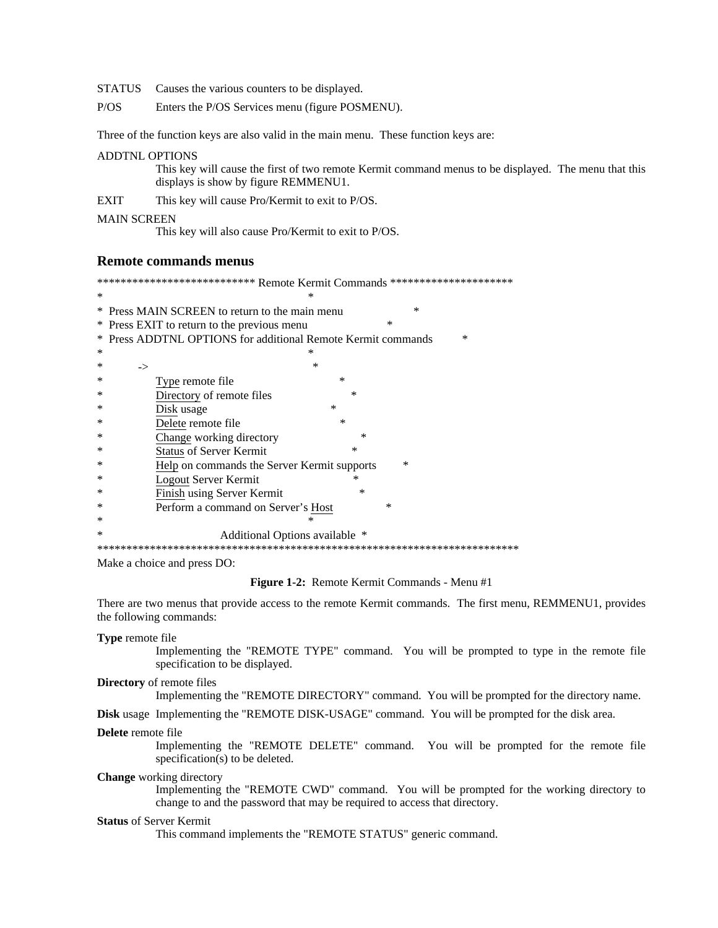STATUS Causes the various counters to be displayed.

 $P/OS$ Enters the P/OS Services menu (figure POSMENU).

Three of the function keys are also valid in the main menu. These function keys are:

### **ADDTNL OPTIONS**

This key will cause the first of two remote Kermit command menus to be displayed. The menu that this displays is show by figure REMMENU1.

 $\ast$ 

**EXIT** This key will cause Pro/Kermit to exit to P/OS.

#### **MAIN SCREEN**

This key will also cause Pro/Kermit to exit to P/OS.

#### **Remote commands menus**

\*\*\*\*\*\*\*\*\*\*\*\*\*\*\*\*\*\*\*\*\*\*\*\*\*\*\* Remote Kermit Commands \*\*\*\*\*\*\*\*\*\*\*\*\*\*\*\*\*\*\*\*\*\*

- \* Press MAIN SCREEN to return to the main menu \* Press EXIT to return to the previous menu
- 

|        | * Press ADDTNL OPTIONS for additional Remote Kermit commands<br>$\ast$ |  |  |
|--------|------------------------------------------------------------------------|--|--|
| ∗      | ∗                                                                      |  |  |
| ∗      | $\ast$<br>->                                                           |  |  |
| ∗      | $\ast$<br>Type remote file                                             |  |  |
| ∗      | ∗<br>Directory of remote files                                         |  |  |
| ∗      | $\ast$<br>Disk usage                                                   |  |  |
| ∗      | Delete remote file<br>∗                                                |  |  |
| ∗      | $\ast$<br>Change working directory                                     |  |  |
| ∗      | <b>Status of Server Kermit</b><br>$\ast$                               |  |  |
| ∗      | $\ast$<br>Help on commands the Server Kermit supports                  |  |  |
| ∗      | Logout Server Kermit                                                   |  |  |
| ∗      | Finish using Server Kermit<br>∗                                        |  |  |
| ∗      | Perform a command on Server's Host<br>×                                |  |  |
| ∗      | ⋇                                                                      |  |  |
| $\ast$ | Additional Options available *                                         |  |  |
|        |                                                                        |  |  |

Make a choice and press DO:

Figure 1-2: Remote Kermit Commands - Menu #1

There are two menus that provide access to the remote Kermit commands. The first menu, REMMENU1, provides the following commands:

Type remote file

Implementing the "REMOTE TYPE" command. You will be prompted to type in the remote file specification to be displayed.

Directory of remote files

Implementing the "REMOTE DIRECTORY" command. You will be prompted for the directory name.

Disk usage Implementing the "REMOTE DISK-USAGE" command. You will be prompted for the disk area.

Delete remote file

Implementing the "REMOTE DELETE" command. You will be prompted for the remote file specification(s) to be deleted.

**Change** working directory

Implementing the "REMOTE CWD" command. You will be prompted for the working directory to change to and the password that may be required to access that directory.

# **Status of Server Kermit**

This command implements the "REMOTE STATUS" generic command.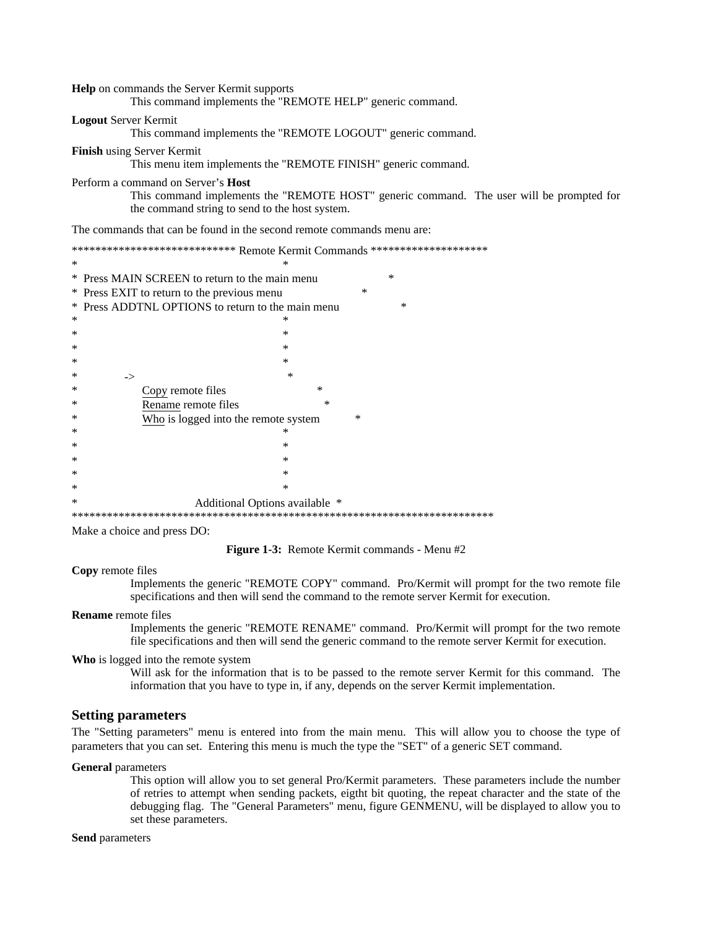#### Help on commands the Server Kermit supports

This command implements the "REMOTE HELP" generic command.

#### **Logout Server Kermit**

This command implements the "REMOTE LOGOUT" generic command.

#### Finish using Server Kermit

This menu item implements the "REMOTE FINISH" generic command.

#### Perform a command on Server's Host

This command implements the "REMOTE HOST" generic command. The user will be prompted for the command string to send to the host system.

The commands that can be found in the second remote commands menu are:

|        | ***************************** Remote Kermit Commands ******************** |
|--------|---------------------------------------------------------------------------|
| $\ast$ | ∗                                                                         |
|        | $\ast$<br>* Press MAIN SCREEN to return to the main menu                  |
|        | $\ast$<br>* Press EXIT to return to the previous menu                     |
|        | * Press ADDTNL OPTIONS to return to the main menu<br>$\ast$               |
| ∗      | ∗                                                                         |
| ∗      | ∗                                                                         |
| ∗      | ∗                                                                         |
| ∗      | $\ast$                                                                    |
| ∗      | $\ast$<br>->                                                              |
| ∗      | $\ast$<br>Copy remote files                                               |
| ∗      | ∗<br>Rename remote files                                                  |
| ∗      | $^{\ast}$<br>Who is logged into the remote system                         |
| ∗      | ∗                                                                         |
| $\ast$ | $\ast$                                                                    |
| $\ast$ | $\ast$                                                                    |
| ∗      | ∗                                                                         |
| $\ast$ | *                                                                         |
| ∗      | Additional Options available *                                            |
|        |                                                                           |

Make a choice and press DO:

Figure 1-3: Remote Kermit commands - Menu #2

#### **Copy** remote files

Implements the generic "REMOTE COPY" command. Pro/Kermit will prompt for the two remote file specifications and then will send the command to the remote server Kermit for execution.

#### **Rename** remote files

Implements the generic "REMOTE RENAME" command. Pro/Kermit will prompt for the two remote file specifications and then will send the generic command to the remote server Kermit for execution.

#### Who is logged into the remote system

Will ask for the information that is to be passed to the remote server Kermit for this command. The information that you have to type in, if any, depends on the server Kermit implementation.

# **Setting parameters**

The "Setting parameters" menu is entered into from the main menu. This will allow you to choose the type of parameters that you can set. Entering this menu is much the type the "SET" of a generic SET command.

#### **General** parameters

This option will allow you to set general Pro/Kermit parameters. These parameters include the number of retries to attempt when sending packets, eight bit quoting, the repeat character and the state of the debugging flag. The "General Parameters" menu, figure GENMENU, will be displayed to allow you to set these parameters.

#### Send parameters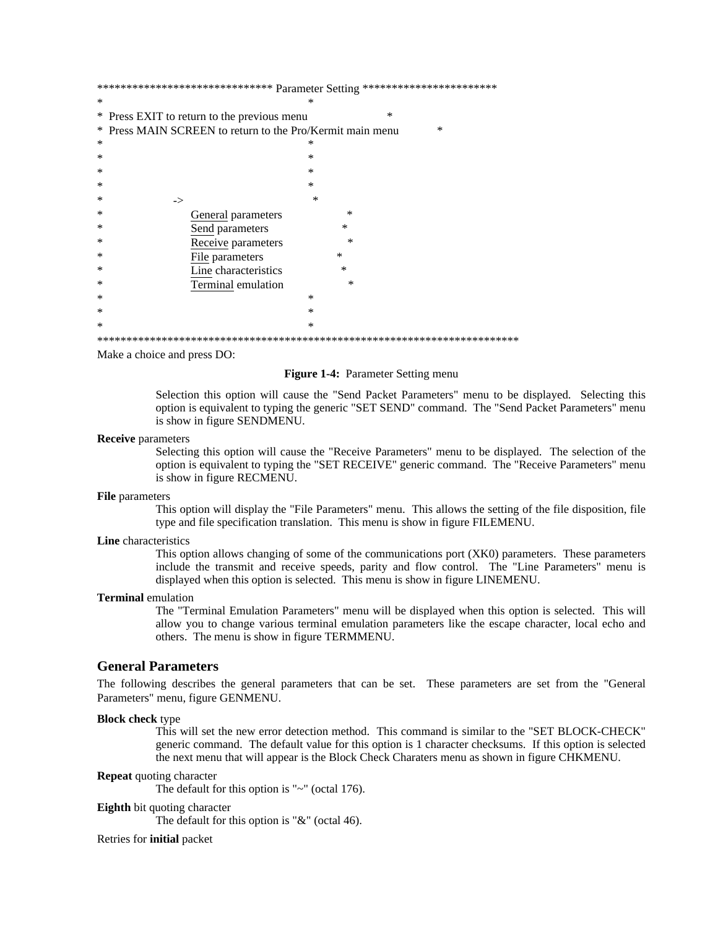|   | *********************************** Parameter Setting ************************ |
|---|--------------------------------------------------------------------------------|
| * | ∗                                                                              |
|   | $\ast$<br>* Press EXIT to return to the previous menu                          |
|   | * Press MAIN SCREEN to return to the Pro/Kermit main menu<br>$\ast$            |
| ∗ | ∗                                                                              |
| ∗ | ∗                                                                              |
| ∗ | $\ast$                                                                         |
| ∗ | $\ast$                                                                         |
| ∗ | ∗<br>->                                                                        |
| ∗ | $\ast$<br>General parameters                                                   |
| ∗ | $\ast$<br>Send parameters                                                      |
| ∗ | ∗<br>Receive parameters                                                        |
| ∗ | *<br>File parameters                                                           |
| ∗ | Line characteristics<br>$\ast$                                                 |
| ∗ | Terminal emulation<br>$\ast$                                                   |
| ∗ | $\ast$                                                                         |
| ∗ | $\ast$                                                                         |
| ∗ | *                                                                              |
|   |                                                                                |

Make a choice and press DO:

#### Figure 1-4: Parameter Setting menu

Selection this option will cause the "Send Packet Parameters" menu to be displayed. Selecting this option is equivalent to typing the generic "SET SEND" command. The "Send Packet Parameters" menu is show in figure SENDMENU.

#### **Receive** parameters

Selecting this option will cause the "Receive Parameters" menu to be displayed. The selection of the option is equivalent to typing the "SET RECEIVE" generic command. The "Receive Parameters" menu is show in figure RECMENU.

#### File parameters

This option will display the "File Parameters" menu. This allows the setting of the file disposition, file type and file specification translation. This menu is show in figure FILEMENU.

## Line characteristics

This option allows changing of some of the communications port (XKO) parameters. These parameters include the transmit and receive speeds, parity and flow control. The "Line Parameters" menu is displayed when this option is selected. This menu is show in figure LINEMENU.

#### **Terminal** emulation

The "Terminal Emulation Parameters" menu will be displayed when this option is selected. This will allow you to change various terminal emulation parameters like the escape character, local echo and others. The menu is show in figure TERMMENU.

#### **General Parameters**

The following describes the general parameters that can be set. These parameters are set from the "General" Parameters" menu, figure GENMENU.

#### **Block check type**

This will set the new error detection method. This command is similar to the "SET BLOCK-CHECK" generic command. The default value for this option is 1 character checksums. If this option is selected the next menu that will appear is the Block Check Charaters menu as shown in figure CHKMENU.

#### **Repeat** quoting character

The default for this option is " $\sim$ " (octal 176).

#### **Eighth** bit quoting character

The default for this option is " $&$ " (octal 46).

#### Retries for *initial* packet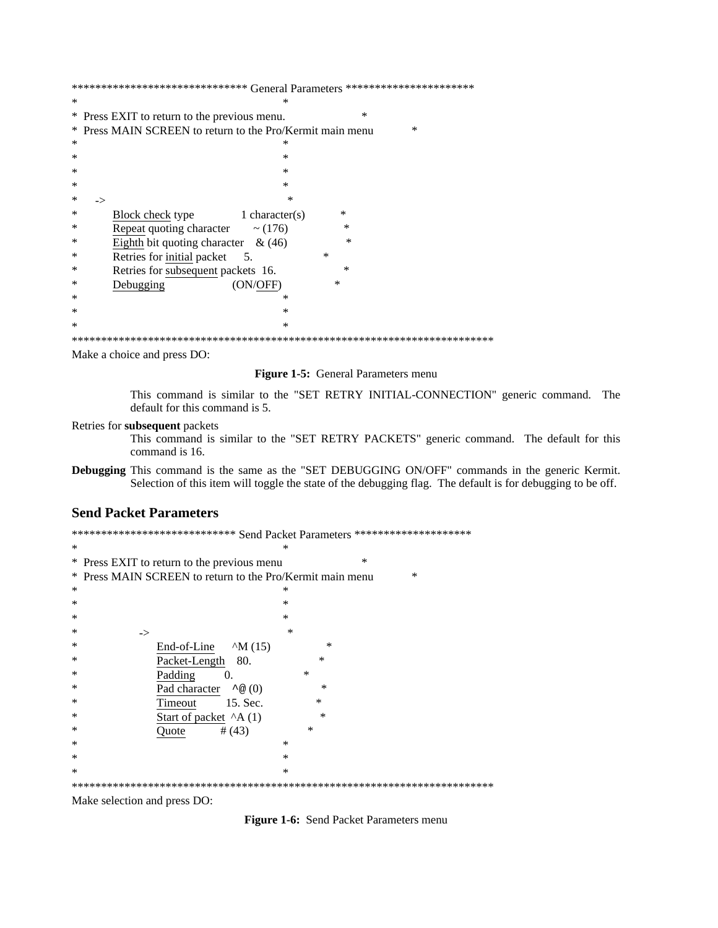|        | ******************************* ${\sf General~Parameters}$ ********************** |
|--------|-----------------------------------------------------------------------------------|
| $\ast$ | ∗                                                                                 |
|        | $\ast$<br>* Press EXIT to return to the previous menu.                            |
|        | * Press MAIN SCREEN to return to the Pro/Kermit main menu<br>$\ast$               |
| ∗      | ∗                                                                                 |
| ∗      | ∗                                                                                 |
| ∗      | ∗                                                                                 |
| ∗      | ∗                                                                                 |
| ∗      | $\ast$<br>->                                                                      |
| ∗      | ∗<br>Block check type 1 character(s)                                              |
| ∗      | Repeat quoting character $\sim$ (176)<br>∗                                        |
| ∗      | Eighth bit quoting character & $(46)$<br>∗                                        |
| ∗      | Retries for initial packet<br>$\ast$<br>5.                                        |
| ∗      | Retries for subsequent packets 16.<br>∗                                           |
| ∗      | ∗<br>Debugging<br>(ON/OFF)                                                        |
| ∗      | ∗                                                                                 |
| ∗      | ∗                                                                                 |
| $\ast$ | $\ast$                                                                            |
|        |                                                                                   |

Make a choice and press DO:

Figure 1-5: General Parameters menu

This command is similar to the "SET RETRY INITIAL-CONNECTION" generic command. The default for this command is 5.

Retries for subsequent packets

This command is similar to the "SET RETRY PACKETS" generic command. The default for this command is 16.

Debugging This command is the same as the "SET DEBUGGING ON/OFF" commands in the generic Kermit. Selection of this item will toggle the state of the debugging flag. The default is for debugging to be off.

# **Send Packet Parameters**

| **************************** Send Packet Parameters ********************* |        |  |
|---------------------------------------------------------------------------|--------|--|
| *                                                                         | ∗      |  |
| * Press EXIT to return to the previous menu                               | $\ast$ |  |
| * Press MAIN SCREEN to return to the Pro/Kermit main menu                 | $\ast$ |  |
| *                                                                         | ∗      |  |
| $\ast$                                                                    | $\ast$ |  |
| $\ast$                                                                    | $\ast$ |  |
| ∗<br>$\rightarrow$                                                        | $\ast$ |  |
| ∗<br>End-of-Line $\wedge$ M (15)                                          | $\ast$ |  |
| ∗<br>Packet-Length 80.                                                    | ∗      |  |
| Padding<br>∗<br>0.                                                        | $\ast$ |  |
| Pad character $\sim \textcircled{a}(0)$<br>∗                              | $\ast$ |  |
| 15. Sec.<br>∗<br>Timeout                                                  | $\ast$ |  |
| Start of packet $^A$ A (1)<br>∗                                           | $\ast$ |  |
| ∗<br># (43)<br>Quote                                                      | $\ast$ |  |
| ∗                                                                         | $\ast$ |  |
| ∗                                                                         | $\ast$ |  |
| $\ast$                                                                    | $\ast$ |  |
|                                                                           |        |  |

Make selection and press DO:

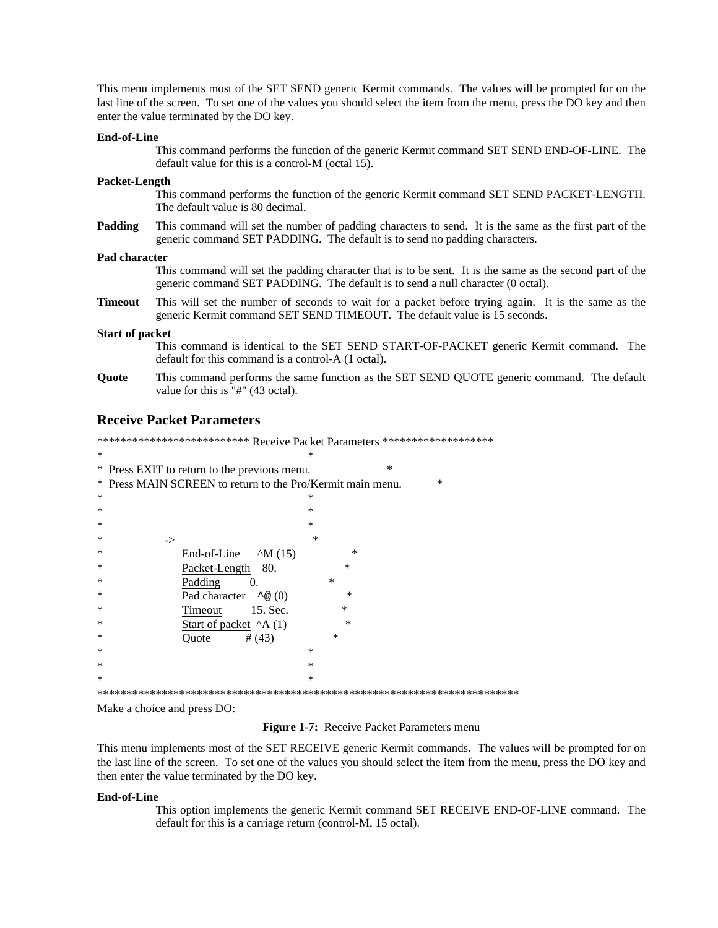This menu implements most of the SET SEND generic Kermit commands. The values will be prompted for on the last line of the screen. To set one of the values you should select the item from the menu, press the DO key and then enter the value terminated by the DO key.

#### **End-of-Line**

This command performs the function of the generic Kermit command SET SEND END-OF-LINE. The default value for this is a control-M (octal 15).

#### **Packet-Length**

This command performs the function of the generic Kermit command SET SEND PACKET-LENGTH. The default value is 80 decimal.

**Padding** This command will set the number of padding characters to send. It is the same as the first part of the generic command SET PADDING. The default is to send no padding characters.

#### **Pad character**

This command will set the padding character that is to be sent. It is the same as the second part of the generic command SET PADDING. The default is to send a null character (0 octal).

**Timeout** This will set the number of seconds to wait for a packet before trying again. It is the same as the generic Kermit command SET SEND TIMEOUT. The default value is 15 seconds.

#### **Start of packet**

This command is identical to the SET SEND START-OF-PACKET generic Kermit command. The default for this command is a control-A (1 octal).

**Quote** This command performs the same function as the SET SEND QUOTE generic command. The default value for this is "#" (43 octal).

## **Receive Packet Parameters**

\*\*\*\*\*\*\*\*\*\*\*\*\*\*\*\*\*\*\*\*\*\*\*\*\* Receive Packet Parameters \*\*\*\*\*\*\*\*\*\*\*\*\*\*\*\*\*\*\*\*\*\*  $*$ \* Press EXIT to return to the previous menu. \* \* Press MAIN SCREEN to return to the Pro/Kermit main menu. \*  $*$  $*$  $*$  $*$   $\longrightarrow$ \* End-of-Line  $^{\wedge}$ M (15) Packet-Length 80. \* Padding 0. Pad character  $\sim \textcircled{a}(0)$ \* Timeout 15. Sec. \* Start of packet  $^{\wedge}$  A (1) Quote  $# (43)$  $*$  $*$  $*$ \*\*\*\*\*\*\*\*\*\*\*\*\*\*\*\*\*\*\*\*\*\*\*\*\*\*\*\*\*\*\*\*\*\*\*\*\*\*\*\*\*\*\*\*\*\*\*\*\*\*\*\*\*\*\*\*\*\*\*\*\*\*\*\*\*\*\*\*\*\*\*\*

Make a choice and press DO:

# **Figure 1-7:** Receive Packet Parameters menu

This menu implements most of the SET RECEIVE generic Kermit commands. The values will be prompted for on the last line of the screen. To set one of the values you should select the item from the menu, press the DO key and then enter the value terminated by the DO key.

#### **End-of-Line**

This option implements the generic Kermit command SET RECEIVE END-OF-LINE command. The default for this is a carriage return (control-M, 15 octal).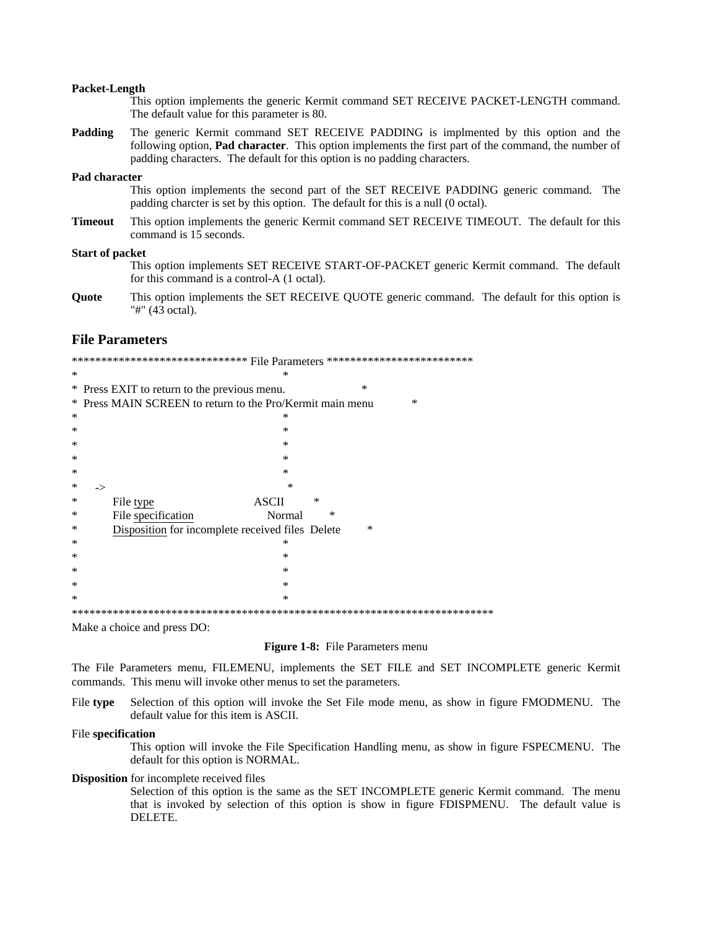#### Packet-Length

|                                                                                                                                                                                              | This option implements the generic Kermit command SET RECEIVE PACKET-LENGTH command.<br>The default value for this parameter is 80.                                                                                                                                              |  |
|----------------------------------------------------------------------------------------------------------------------------------------------------------------------------------------------|----------------------------------------------------------------------------------------------------------------------------------------------------------------------------------------------------------------------------------------------------------------------------------|--|
| Padding                                                                                                                                                                                      | The generic Kermit command SET RECEIVE PADDING is implemnted by this option and the<br>following option, <b>Pad character</b> . This option implements the first part of the command, the number of<br>padding characters. The default for this option is no padding characters. |  |
| Pad character<br>This option implements the second part of the SET RECEIVE PADDING generic command. The<br>padding charcter is set by this option. The default for this is a null (0 octal). |                                                                                                                                                                                                                                                                                  |  |
| <b>Timeout</b>                                                                                                                                                                               | This option implements the generic Kermit command SET RECEIVE TIMEOUT. The default for this<br>command is 15 seconds.                                                                                                                                                            |  |
| <b>Start of packet</b>                                                                                                                                                                       | This option implements SET RECEIVE START-OF-PACKET generic Kermit command. The default<br>for this command is a control-A (1 octal).                                                                                                                                             |  |
| $\Omega$ ---4-                                                                                                                                                                               | This surface incolange to CET DECENIE OUOTE seconds common 4. The default for this surface is                                                                                                                                                                                    |  |

This option implements the SET RECEIVE QUOTE generic command. The default for this option is Quote "#" (43 octal).

## **File Parameters**

|        | ******************************* File Parameters ************************* |  |  |
|--------|---------------------------------------------------------------------------|--|--|
| $\ast$ | ×                                                                         |  |  |
|        | *<br>* Press EXIT to return to the previous menu.                         |  |  |
|        | * Press MAIN SCREEN to return to the Pro/Kermit main menu<br>*            |  |  |
| ∗      | ∗                                                                         |  |  |
| *      | *                                                                         |  |  |
| ∗      | ∗                                                                         |  |  |
| ∗      | $\ast$                                                                    |  |  |
| ∗      | *                                                                         |  |  |
| ∗      | $\ast$<br>->                                                              |  |  |
| ∗      | ∗<br><b>ASCII</b><br>File type                                            |  |  |
| ∗      | File specification<br>Normal<br>∗                                         |  |  |
| ∗      | Disposition for incomplete received files Delete<br>$\ast$                |  |  |
| ∗      | ×                                                                         |  |  |
| ∗      | $\ast$                                                                    |  |  |
| ∗      | $\ast$                                                                    |  |  |
| ∗      | ∗                                                                         |  |  |
| ∗      | $\ast$                                                                    |  |  |
|        | ********************************<br>********************************      |  |  |

Make a choice and press DO:

#### Figure 1-8: File Parameters menu

The File Parameters menu, FILEMENU, implements the SET FILE and SET INCOMPLETE generic Kermit commands. This menu will invoke other menus to set the parameters.

File type Selection of this option will invoke the Set File mode menu, as show in figure FMODMENU. The default value for this item is ASCII.

#### File specification

This option will invoke the File Specification Handling menu, as show in figure FSPECMENU. The default for this option is NORMAL.

#### **Disposition** for incomplete received files

Selection of this option is the same as the SET INCOMPLETE generic Kermit command. The menu that is invoked by selection of this option is show in figure FDISPMENU. The default value is DELETE.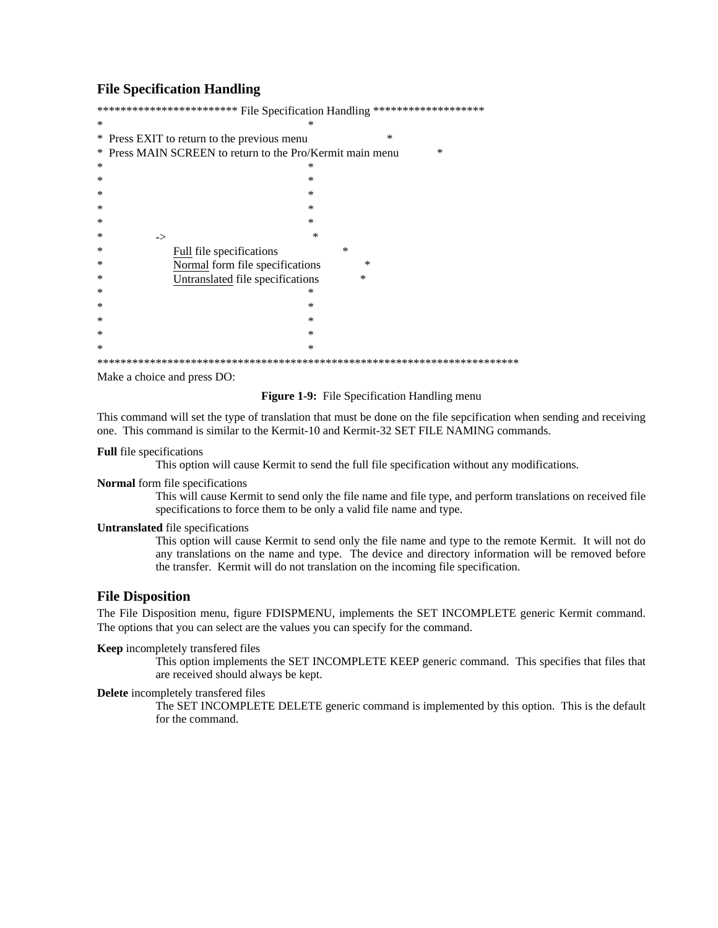# **File Specification Handling**

|   | ************************ File Specification Handling ******************** |
|---|---------------------------------------------------------------------------|
| ∗ |                                                                           |
|   | $\ast$<br>* Press EXIT to return to the previous menu                     |
|   | * Press MAIN SCREEN to return to the Pro/Kermit main menu<br>∗            |
| ∗ | *                                                                         |
| ∗ | ∗                                                                         |
| ∗ | ∗                                                                         |
| ∗ | *                                                                         |
| ∗ | *                                                                         |
| ∗ | *<br>->                                                                   |
| ∗ | ∗<br>Full file specifications                                             |
| ∗ | Normal form file specifications<br>*                                      |
| ∗ | Untranslated file specifications<br>∗                                     |
| ∗ | ∗                                                                         |
| ∗ | ∗                                                                         |
| ∗ | *                                                                         |
| ∗ | *                                                                         |
| ∗ | ∗                                                                         |
|   |                                                                           |

Make a choice and press DO:

#### **Figure 1-9:** File Specification Handling menu

This command will set the type of translation that must be done on the file sepcification when sending and receiving one. This command is similar to the Kermit-10 and Kermit-32 SET FILE NAMING commands.

#### **Full** file specifications

This option will cause Kermit to send the full file specification without any modifications.

# Normal form file specifications

This will cause Kermit to send only the file name and file type, and perform translations on received file specifications to force them to be only a valid file name and type.

#### **Untranslated** file specifications

This option will cause Kermit to send only the file name and type to the remote Kermit. It will not do any translations on the name and type. The device and directory information will be removed before the transfer. Kermit will do not translation on the incoming file specification.

# **File Disposition**

The File Disposition menu, figure FDISPMENU, implements the SET INCOMPLETE generic Kermit command. The options that you can select are the values you can specify for the command.

#### Keep incompletely transfered files

This option implements the SET INCOMPLETE KEEP generic command. This specifies that files that are received should always be kept.

#### Delete incompletely transfered files

The SET INCOMPLETE DELETE generic command is implemented by this option. This is the default for the command.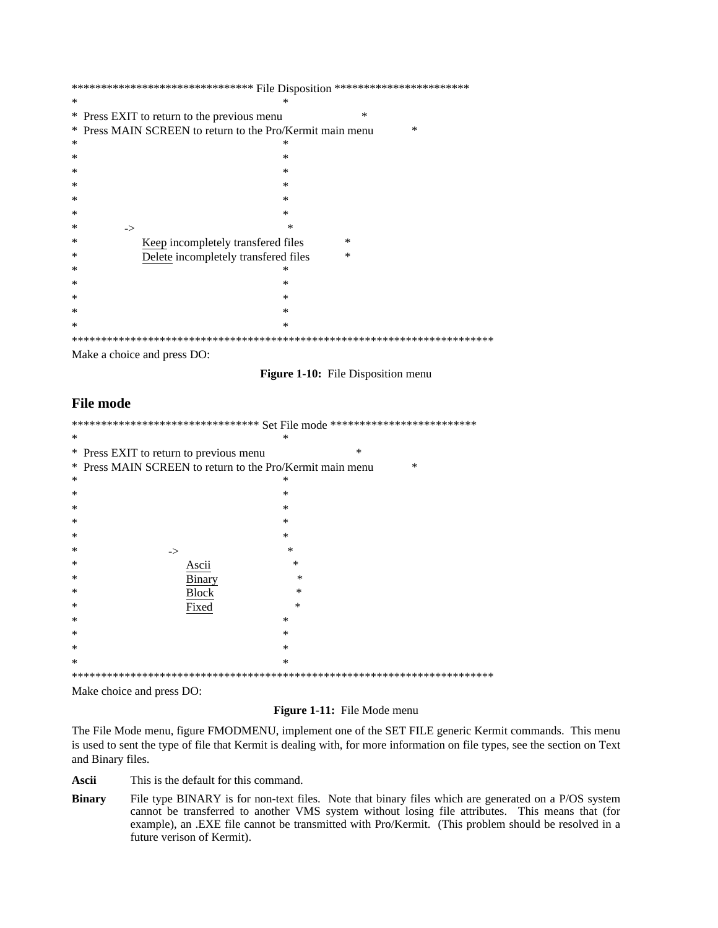|        | ******************************** File Disposition ************************ |  |  |  |
|--------|----------------------------------------------------------------------------|--|--|--|
| $\ast$ |                                                                            |  |  |  |
|        | $\ast$<br>* Press EXIT to return to the previous menu                      |  |  |  |
| ∗      | Press MAIN SCREEN to return to the Pro/Kermit main menu<br>*               |  |  |  |
| ∗      | ∗                                                                          |  |  |  |
| ∗      | $\ast$                                                                     |  |  |  |
| ∗      | $\ast$                                                                     |  |  |  |
| ∗      | $\ast$                                                                     |  |  |  |
| ∗      | $\ast$                                                                     |  |  |  |
| ∗      | *                                                                          |  |  |  |
| ∗      | ×<br>$\rightarrow$                                                         |  |  |  |
| ∗      | Keep incompletely transfered files<br>$\ast$                               |  |  |  |
| ∗      | Delete incompletely transfered files<br>*                                  |  |  |  |
| ∗      | ∗                                                                          |  |  |  |
| ∗      | $\ast$                                                                     |  |  |  |
| ∗      | $\ast$                                                                     |  |  |  |
| ∗      | $\ast$                                                                     |  |  |  |
| $\ast$ | ∗                                                                          |  |  |  |
|        |                                                                            |  |  |  |

Make a choice and press DO:

Figure 1-10: File Disposition menu

# **File mode**

| ********************************* Set File mode ************************** |                                                                                                                                                                                                                                                                                                                                    |        |  |
|----------------------------------------------------------------------------|------------------------------------------------------------------------------------------------------------------------------------------------------------------------------------------------------------------------------------------------------------------------------------------------------------------------------------|--------|--|
| ∗                                                                          | ∗                                                                                                                                                                                                                                                                                                                                  |        |  |
|                                                                            | * Press EXIT to return to previous menu                                                                                                                                                                                                                                                                                            | $\ast$ |  |
|                                                                            | * Press MAIN SCREEN to return to the Pro/Kermit main menu                                                                                                                                                                                                                                                                          | $\ast$ |  |
| ∗                                                                          | ∗                                                                                                                                                                                                                                                                                                                                  |        |  |
| ∗                                                                          | $\ast$                                                                                                                                                                                                                                                                                                                             |        |  |
| ∗                                                                          | $\ast$                                                                                                                                                                                                                                                                                                                             |        |  |
| $\ast$                                                                     | $\ast$                                                                                                                                                                                                                                                                                                                             |        |  |
| ∗                                                                          | $\ast$                                                                                                                                                                                                                                                                                                                             |        |  |
| ∗                                                                          | $\ast$<br>->                                                                                                                                                                                                                                                                                                                       |        |  |
| ∗                                                                          | ∗<br>Ascii                                                                                                                                                                                                                                                                                                                         |        |  |
| ∗                                                                          | ∗<br>Binary                                                                                                                                                                                                                                                                                                                        |        |  |
| ∗                                                                          | <b>Block</b><br>$\ast$                                                                                                                                                                                                                                                                                                             |        |  |
| ∗                                                                          | Fixed<br>$\ast$                                                                                                                                                                                                                                                                                                                    |        |  |
| ∗                                                                          | $\ast$                                                                                                                                                                                                                                                                                                                             |        |  |
| ∗                                                                          | $\ast$                                                                                                                                                                                                                                                                                                                             |        |  |
| $\ast$                                                                     | $\ast$                                                                                                                                                                                                                                                                                                                             |        |  |
| $\ast$                                                                     | ∗                                                                                                                                                                                                                                                                                                                                  |        |  |
|                                                                            |                                                                                                                                                                                                                                                                                                                                    |        |  |
|                                                                            | $\mathbf{v}$ $\mathbf{v}$ $\mathbf{v}$ $\mathbf{v}$ $\mathbf{v}$ $\mathbf{v}$ $\mathbf{v}$ $\mathbf{v}$ $\mathbf{v}$ $\mathbf{v}$ $\mathbf{v}$ $\mathbf{v}$ $\mathbf{v}$ $\mathbf{v}$ $\mathbf{v}$ $\mathbf{v}$ $\mathbf{v}$ $\mathbf{v}$ $\mathbf{v}$ $\mathbf{v}$ $\mathbf{v}$ $\mathbf{v}$ $\mathbf{v}$ $\mathbf{v}$ $\mathbf{$ |        |  |

Make choice and press DO:

## Figure 1-11: File Mode menu

The File Mode menu, figure FMODMENU, implement one of the SET FILE generic Kermit commands. This menu is used to sent the type of file that Kermit is dealing with, for more information on file types, see the section on Text and Binary files.

Ascii This is the default for this command.

**Binary** File type BINARY is for non-text files. Note that binary files which are generated on a P/OS system cannot be transferred to another VMS system without losing file attributes. This means that (for example), an .EXE file cannot be transmitted with Pro/Kermit. (This problem should be resolved in a future verison of Kermit).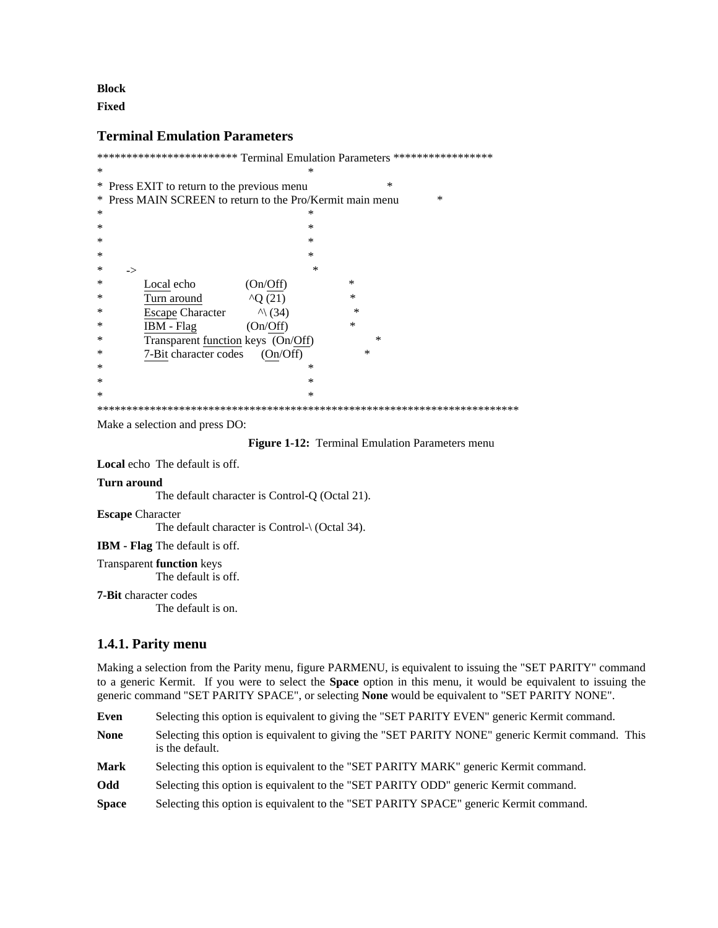# **Block**

**Fixed** 

# **Terminal Emulation Parameters**

|        | ************************ Terminal Emulation Parameters ***************** |  |  |  |
|--------|--------------------------------------------------------------------------|--|--|--|
| ∗      | ∗                                                                        |  |  |  |
|        | ∗<br>* Press EXIT to return to the previous menu                         |  |  |  |
|        | * Press MAIN SCREEN to return to the Pro/Kermit main menu<br>$\ast$      |  |  |  |
| ∗      | ∗                                                                        |  |  |  |
| $\ast$ | $\ast$                                                                   |  |  |  |
| ∗      | $\ast$                                                                   |  |  |  |
| ∗      | $\ast$                                                                   |  |  |  |
| ∗      | $\ast$<br>->                                                             |  |  |  |
| ∗      | $\ast$<br>Local echo<br>(On/Off)                                         |  |  |  |
| ∗      | $\ast$<br>$^{\wedge}Q(21)$<br>Turn around                                |  |  |  |
| ∗      | $\ast$<br><b>Escape Character</b><br>$\wedge$ (34)                       |  |  |  |
| ∗      | *<br>IBM - Flag<br>(On/Off)                                              |  |  |  |
| ∗      | ∗<br>Transparent function keys (On/Off)                                  |  |  |  |
| ∗      | *<br>7-Bit character codes<br>(On/Off)                                   |  |  |  |
| ∗      | ∗                                                                        |  |  |  |
| ∗      | *                                                                        |  |  |  |
| ∗      | $\ast$                                                                   |  |  |  |
|        |                                                                          |  |  |  |

Make a selection and press DO:

### Figure 1-12: Terminal Emulation Parameters menu

Local echo The default is off.

#### **Turn around**

The default character is Control-Q (Octal 21).

#### **Escape Character**

The default character is Control- $\setminus$  (Octal 34).

IBM - Flag The default is off.

**Transparent function keys** 

The default is off.

**7-Bit** character codes

The default is on.

# 1.4.1. Parity menu

Making a selection from the Parity menu, figure PARMENU, is equivalent to issuing the "SET PARITY" command to a generic Kermit. If you were to select the **Space** option in this menu, it would be equivalent to issuing the generic command "SET PARITY SPACE", or selecting None would be equivalent to "SET PARITY NONE".

Even Selecting this option is equivalent to giving the "SET PARITY EVEN" generic Kermit command.

Selecting this option is equivalent to giving the "SET PARITY NONE" generic Kermit command. This **None** is the default.

**Mark** Selecting this option is equivalent to the "SET PARITY MARK" generic Kermit command.

Odd Selecting this option is equivalent to the "SET PARITY ODD" generic Kermit command.

**Space** Selecting this option is equivalent to the "SET PARITY SPACE" generic Kermit command.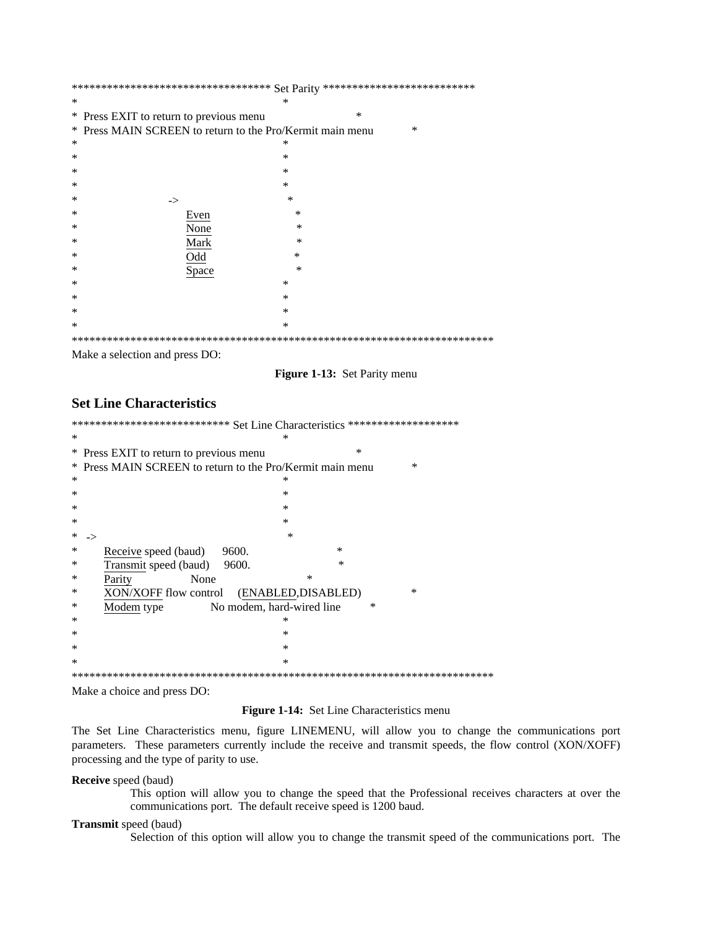|   | *********************************** $\operatorname{Set}$ Parity *************************** |  |  |  |
|---|---------------------------------------------------------------------------------------------|--|--|--|
| ∗ | ∗                                                                                           |  |  |  |
|   | $\ast$<br>* Press EXIT to return to previous menu                                           |  |  |  |
|   | * Press MAIN SCREEN to return to the Pro/Kermit main menu<br>$\ast$                         |  |  |  |
| ∗ | ∗                                                                                           |  |  |  |
| * | *                                                                                           |  |  |  |
| ∗ | $\ast$                                                                                      |  |  |  |
| ∗ | $\ast$                                                                                      |  |  |  |
| ∗ | $\ast$<br>->                                                                                |  |  |  |
| ∗ | *<br>Even                                                                                   |  |  |  |
| ∗ | None<br>$\ast$                                                                              |  |  |  |
| ∗ | Mark<br>$\ast$                                                                              |  |  |  |
| ∗ | Odd<br>*                                                                                    |  |  |  |
| ∗ | Space<br>$\ast$                                                                             |  |  |  |
| ∗ | ∗                                                                                           |  |  |  |
| ∗ | ∗                                                                                           |  |  |  |
| ∗ | $\ast$                                                                                      |  |  |  |
| * | $\ast$                                                                                      |  |  |  |
|   |                                                                                             |  |  |  |

Make a selection and press DO:

Figure 1-13: Set Parity menu

# **Set Line Characteristics**

| *************************** Set Line Characteristics ******************* |                                                                |  |  |
|--------------------------------------------------------------------------|----------------------------------------------------------------|--|--|
| $\ast$                                                                   | ∗                                                              |  |  |
|                                                                          | $\ast$<br>* Press EXIT to return to previous menu              |  |  |
|                                                                          | * Press MAIN SCREEN to return to the Pro/Kermit main menu<br>× |  |  |
| $\ast$                                                                   | ∗                                                              |  |  |
| ∗                                                                        | ∗                                                              |  |  |
| ∗                                                                        | $\ast$                                                         |  |  |
| ∗                                                                        | $\ast$                                                         |  |  |
| ∗                                                                        | $\ast$                                                         |  |  |
| ∗                                                                        | $\ast$<br>Receive speed (baud)<br>9600.                        |  |  |
| ∗                                                                        | $\ast$<br>Transmit speed (baud)<br>9600.                       |  |  |
| ∗                                                                        | ∗<br>None<br>Parity                                            |  |  |
| ∗                                                                        | ∗<br>XON/XOFF flow control<br>(ENABLED, DISABLED)              |  |  |
| ∗                                                                        | $\ast$<br>No modem, hard-wired line<br>Modem type              |  |  |
| ∗                                                                        | $^{\ast}$                                                      |  |  |
| $\ast$                                                                   | $\ast$                                                         |  |  |
| $\ast$                                                                   | ∗                                                              |  |  |
| ∗                                                                        | $\ast$                                                         |  |  |
| *********************************<br>******************************      |                                                                |  |  |

Make a choice and press DO:

# Figure 1-14: Set Line Characteristics menu

The Set Line Characteristics menu, figure LINEMENU, will allow you to change the communications port parameters. These parameters currently include the receive and transmit speeds, the flow control (XON/XOFF) processing and the type of parity to use.

Receive speed (baud)

This option will allow you to change the speed that the Professional receives characters at over the communications port. The default receive speed is 1200 baud.

#### Transmit speed (baud)

Selection of this option will allow you to change the transmit speed of the communications port. The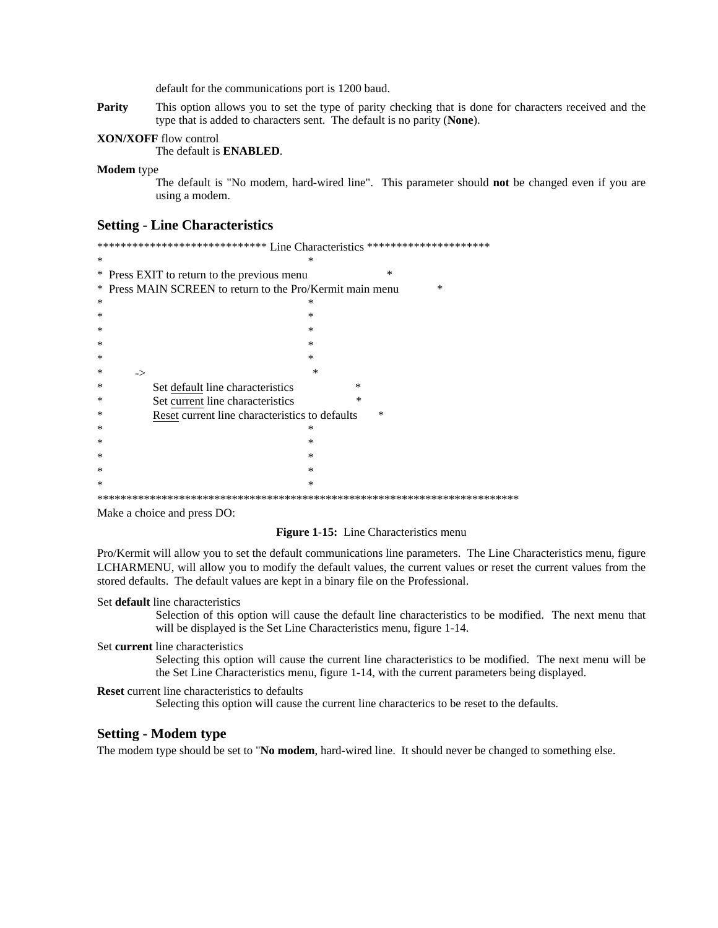default for the communications port is 1200 baud.

Parity This option allows you to set the type of parity checking that is done for characters received and the type that is added to characters sent. The default is no parity (None).

#### **XON/XOFF** flow control

The default is **ENABLED**.

**Modem** type

The default is "No modem, hard-wired line". This parameter should not be changed even if you are using a modem.

## **Setting - Line Characteristics**

\*\*\*\*\*\*\*\*\*\*\*\*\*\*\*\*\*\*\*\*\*\*\*\*\*\*\*\*\*\* Line Characteristics \*\*\*\*\*\*\*\*\*\*\*\*\*\*\*\*\*\*\*\*\*\* s. \* Press EXIT to return to the previous menu \* Press MAIN SCREEN to return to the Pro/Kermit main menu  $\ast$  $\ast$  $\ast$  $\ast$  $\ast$  $\ast$  $\ast$  $\rightarrow$ × Set default line characteristics  $\ast$  $\ast$ Set current line characteristics  $\ast$ Reset current line characteristics to defaults  $\ast$  $\ast$ ×  $\ast$  $\ast$  $\ast$  $\ast$ 

Make a choice and press DO:

#### Figure 1-15: Line Characteristics menu

Pro/Kermit will allow you to set the default communications line parameters. The Line Characteristics menu, figure LCHARMENU, will allow you to modify the default values, the current values or reset the current values from the stored defaults. The default values are kept in a binary file on the Professional.

#### Set default line characteristics

Selection of this option will cause the default line characteristics to be modified. The next menu that will be displayed is the Set Line Characteristics menu, figure 1-14.

#### Set current line characteristics

Selecting this option will cause the current line characteristics to be modified. The next menu will be the Set Line Characteristics menu, figure 1-14, with the current parameters being displayed.

#### **Reset** current line characteristics to defaults

Selecting this option will cause the current line characterics to be reset to the defaults.

## **Setting - Modem type**

The modem type should be set to "No modem, hard-wired line. It should never be changed to something else.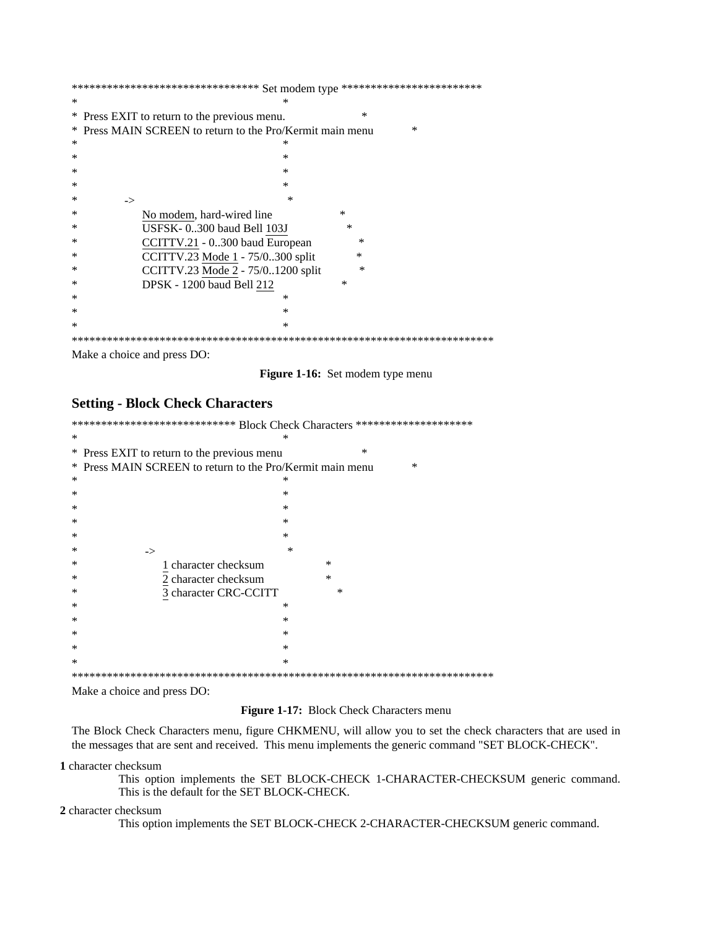| ********************************* Set modem type ************************* |                                                                |  |  |
|----------------------------------------------------------------------------|----------------------------------------------------------------|--|--|
| ∗                                                                          |                                                                |  |  |
|                                                                            | ∗<br>* Press EXIT to return to the previous menu.              |  |  |
|                                                                            | * Press MAIN SCREEN to return to the Pro/Kermit main menu<br>∗ |  |  |
| ∗                                                                          | ∗                                                              |  |  |
| ∗                                                                          | ∗                                                              |  |  |
| ∗                                                                          | ∗                                                              |  |  |
| ∗                                                                          | $^\ast$                                                        |  |  |
| ∗                                                                          | ×<br>->                                                        |  |  |
| ∗                                                                          | ∗<br>No modem, hard-wired line                                 |  |  |
| ∗                                                                          | USFSK-0300 baud Bell 103J<br>×                                 |  |  |
| ∗                                                                          | CCITTV.21 - 0300 baud European<br>$\ast$                       |  |  |
| ∗                                                                          | CCITTV.23 Mode 1 - 75/0300 split<br>*                          |  |  |
| ∗                                                                          | $\ast$<br>CCITTV.23 Mode 2 - 75/01200 split                    |  |  |
| ∗                                                                          | <b>DPSK</b> - 1200 baud Bell 212<br>*                          |  |  |
| ∗                                                                          | ∗                                                              |  |  |
| ∗                                                                          | ∗                                                              |  |  |
| ∗                                                                          | *                                                              |  |  |
|                                                                            |                                                                |  |  |

Make a choice and press DO:

Figure 1-16: Set modem type menu

# **Setting - Block Check Characters**

|   | **************************** Block Check Characters ******************** |  |  |  |
|---|--------------------------------------------------------------------------|--|--|--|
| ∗ | $\ast$                                                                   |  |  |  |
|   | $\ast$<br>* Press EXIT to return to the previous menu                    |  |  |  |
| ∗ | Press MAIN SCREEN to return to the Pro/Kermit main menu<br>∗             |  |  |  |
| ∗ | ∗                                                                        |  |  |  |
| ∗ | $\ast$                                                                   |  |  |  |
| ∗ | $\ast$                                                                   |  |  |  |
| ∗ | $\ast$                                                                   |  |  |  |
| ∗ | $\ast$                                                                   |  |  |  |
| ∗ | $\ast$<br>$\rightarrow$                                                  |  |  |  |
| ∗ | 1 character checksum<br>$\ast$                                           |  |  |  |
| ∗ | $\ast$<br>2 character checksum                                           |  |  |  |
| ∗ | 3 character CRC-CCITT<br>∗                                               |  |  |  |
| ∗ | $\ast$                                                                   |  |  |  |
| ∗ | $\ast$                                                                   |  |  |  |
| ∗ | $\ast$                                                                   |  |  |  |
| ∗ | $\ast$                                                                   |  |  |  |
| ∗ | $\ast$                                                                   |  |  |  |
|   |                                                                          |  |  |  |

Make a choice and press DO:

Figure 1-17: Block Check Characters menu

The Block Check Characters menu, figure CHKMENU, will allow you to set the check characters that are used in the messages that are sent and received. This menu implements the generic command "SET BLOCK-CHECK".

1 character checksum

This option implements the SET BLOCK-CHECK 1-CHARACTER-CHECKSUM generic command. This is the default for the SET BLOCK-CHECK.

2 character checksum

This option implements the SET BLOCK-CHECK 2-CHARACTER-CHECKSUM generic command.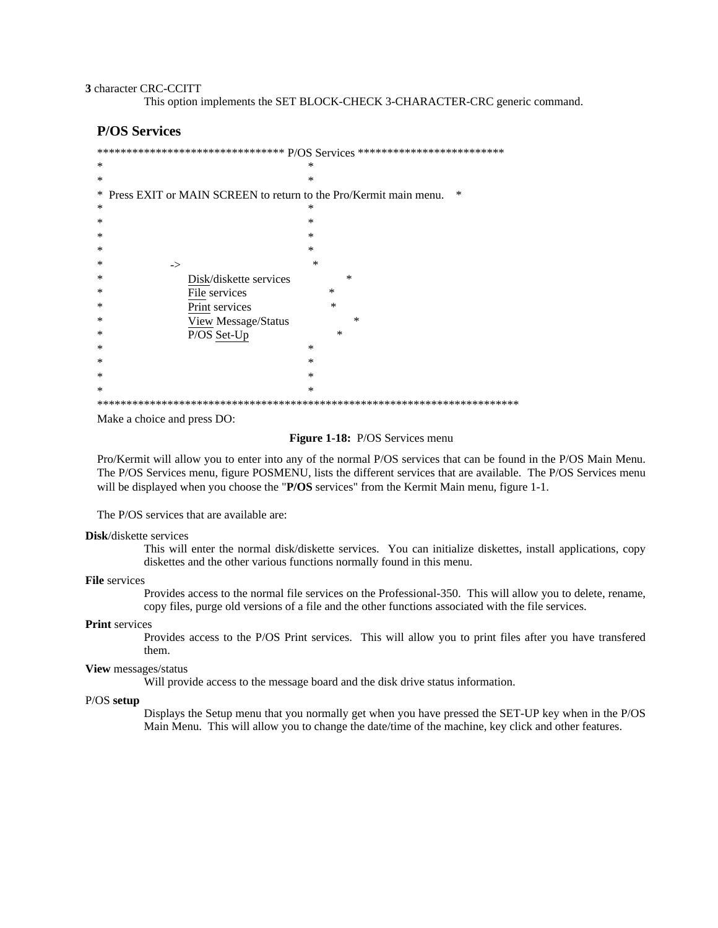#### 3 character CRC-CCITT

This option implements the SET BLOCK-CHECK 3-CHARACTER-CRC generic command.

# **P/OS Services**

|   | ********************************* $\mathrm{P/OS}$ $\mathrm{S}$ ervices ************************* |  |  |
|---|--------------------------------------------------------------------------------------------------|--|--|
| * | ∗                                                                                                |  |  |
| * | $\ast$                                                                                           |  |  |
| ∗ | ∗<br>Press EXIT or MAIN SCREEN to return to the Pro/Kermit main menu.                            |  |  |
| ∗ | ∗                                                                                                |  |  |
| ∗ | $\ast$                                                                                           |  |  |
| ∗ | $\ast$                                                                                           |  |  |
| ∗ | $\ast$                                                                                           |  |  |
| ∗ | $\ast$<br>->                                                                                     |  |  |
| ∗ | $\ast$<br>Disk/diskette services                                                                 |  |  |
| ∗ | $\ast$<br>File services                                                                          |  |  |
| ∗ | $\ast$<br>Print services                                                                         |  |  |
| ∗ | ∗<br>View Message/Status                                                                         |  |  |
| ∗ | P/OS Set-Up<br>∗                                                                                 |  |  |
| ∗ | $\ast$                                                                                           |  |  |
| ∗ | $\ast$                                                                                           |  |  |
| ∗ | *                                                                                                |  |  |
| ∗ | ∗                                                                                                |  |  |
|   |                                                                                                  |  |  |

Make a choice and press DO:

# Figure 1-18: P/OS Services menu

Pro/Kermit will allow you to enter into any of the normal P/OS services that can be found in the P/OS Main Menu. The P/OS Services menu, figure POSMENU, lists the different services that are available. The P/OS Services menu will be displayed when you choose the "P/OS services" from the Kermit Main menu, figure 1-1.

The P/OS services that are available are:

#### **Disk**/diskette services

This will enter the normal disk/diskette services. You can initialize diskettes, install applications, copy diskettes and the other various functions normally found in this menu.

#### File services

Provides access to the normal file services on the Professional-350. This will allow you to delete, rename, copy files, purge old versions of a file and the other functions associated with the file services.

#### **Print** services

Provides access to the P/OS Print services. This will allow you to print files after you have transfered them.

## View messages/status

Will provide access to the message board and the disk drive status information.

#### P/OS setup

Displays the Setup menu that you normally get when you have pressed the SET-UP key when in the P/OS Main Menu. This will allow you to change the date/time of the machine, key click and other features.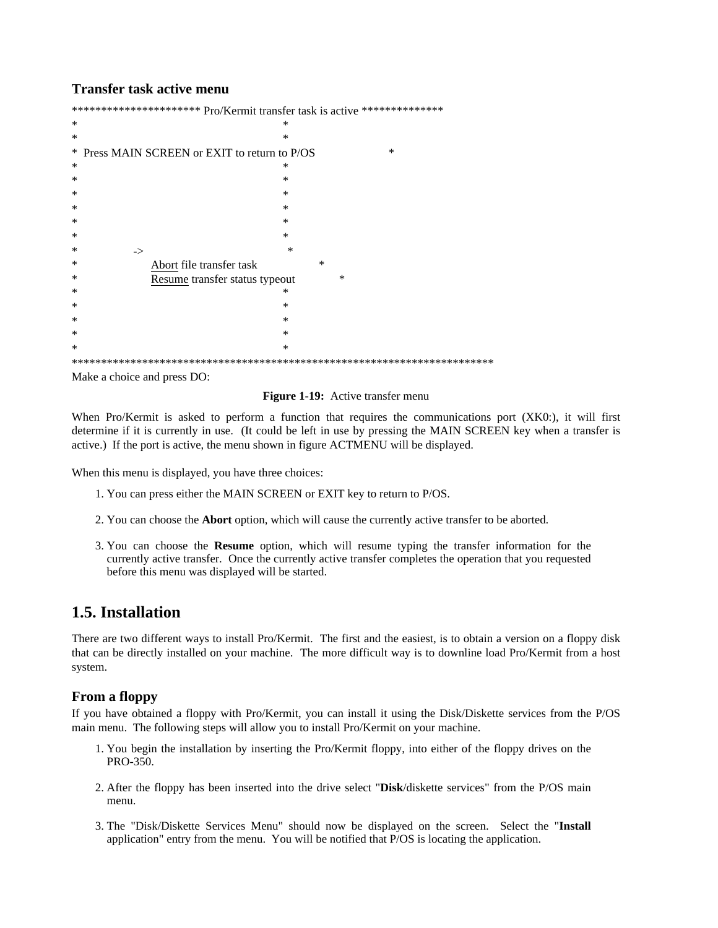# **Transfer task active menu**

| *********************** Pro/Kermit transfer task is active *************** |        |  |  |
|----------------------------------------------------------------------------|--------|--|--|
| ∗                                                                          | $\ast$ |  |  |
| ∗                                                                          | ∗      |  |  |
| Press MAIN SCREEN or EXIT to return to P/OS<br>$\ast$                      | $\ast$ |  |  |
| ∗                                                                          | ∗      |  |  |
| ∗                                                                          | $\ast$ |  |  |
| ∗                                                                          | $\ast$ |  |  |
| ∗                                                                          | $\ast$ |  |  |
| ∗                                                                          | $\ast$ |  |  |
| ∗                                                                          | $\ast$ |  |  |
| ∗<br>$\rightarrow$                                                         | $\ast$ |  |  |
| Abort file transfer task<br>∗                                              | $\ast$ |  |  |
| ∗<br>Resume transfer status typeout                                        | $\ast$ |  |  |
| ∗                                                                          | ∗      |  |  |
| ∗                                                                          | $\ast$ |  |  |
| ∗                                                                          | $\ast$ |  |  |
| ∗                                                                          | $\ast$ |  |  |
| ∗                                                                          | *      |  |  |
|                                                                            |        |  |  |

Make a choice and press DO:

#### Figure 1-19: Active transfer menu

When Pro/Kermit is asked to perform a function that requires the communications port (XKO:), it will first determine if it is currently in use. (It could be left in use by pressing the MAIN SCREEN key when a transfer is active.) If the port is active, the menu shown in figure ACTMENU will be displayed.

When this menu is displayed, you have three choices:

- 1. You can press either the MAIN SCREEN or EXIT key to return to P/OS.
- 2. You can choose the **Abort** option, which will cause the currently active transfer to be aborted.
- 3. You can choose the Resume option, which will resume typing the transfer information for the currently active transfer. Once the currently active transfer completes the operation that you requested before this menu was displayed will be started.

# 1.5. Installation

There are two different ways to install Pro/Kermit. The first and the easiest, is to obtain a version on a floppy disk that can be directly installed on your machine. The more difficult way is to downline load Pro/Kermit from a host system.

# **From a floppy**

If you have obtained a floppy with Pro/Kermit, you can install it using the Disk/Diskette services from the P/OS main menu. The following steps will allow you to install Pro/Kermit on your machine.

- 1. You begin the installation by inserting the Pro/Kermit floppy, into either of the floppy drives on the PRO-350.
- 2. After the floppy has been inserted into the drive select "Disk/diskette services" from the P/OS main menu.
- 3. The "Disk/Diskette Services Menu" should now be displayed on the screen. Select the "Install application" entry from the menu. You will be notified that P/OS is locating the application.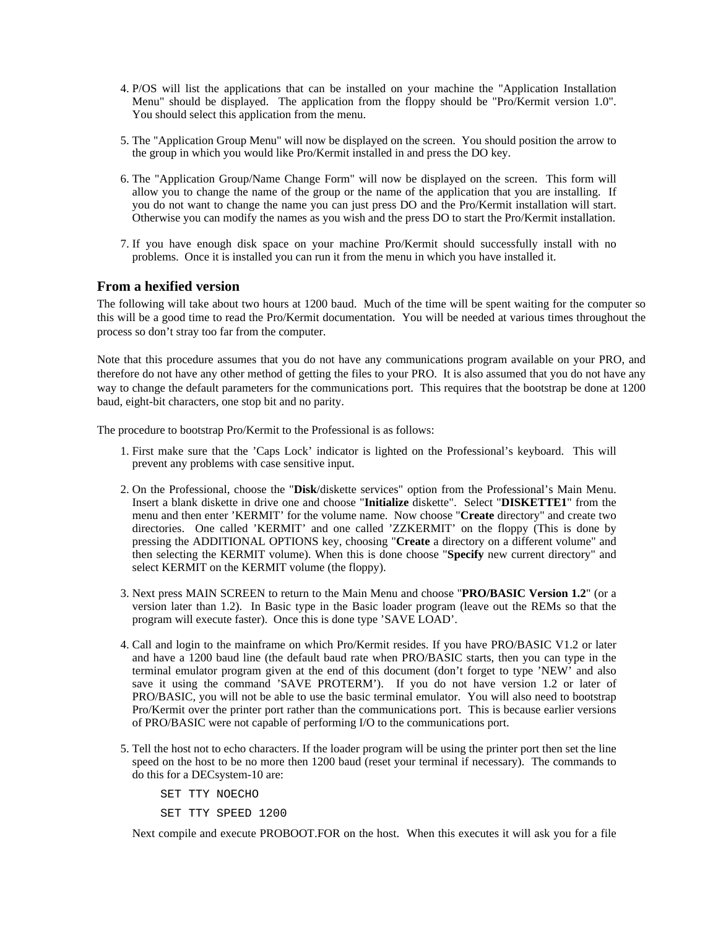- 4. P/OS will list the applications that can be installed on your machine the "Application Installation Menu" should be displayed. The application from the floppy should be "Pro/Kermit version 1.0". You should select this application from the menu.
- 5. The "Application Group Menu" will now be displayed on the screen. You should position the arrow to the group in which you would like Pro/Kermit installed in and press the DO key.
- 6. The "Application Group/Name Change Form" will now be displayed on the screen. This form will allow you to change the name of the group or the name of the application that you are installing. If you do not want to change the name you can just press DO and the Pro/Kermit installation will start. Otherwise you can modify the names as you wish and the press DO to start the Pro/Kermit installation.
- 7. If you have enough disk space on your machine Pro/Kermit should successfully install with no problems. Once it is installed you can run it from the menu in which you have installed it.

# **From a hexified version**

The following will take about two hours at 1200 baud. Much of the time will be spent waiting for the computer so this will be a good time to read the Pro/Kermit documentation. You will be needed at various times throughout the process so don't stray too far from the computer.

Note that this procedure assumes that you do not have any communications program available on your PRO, and therefore do not have any other method of getting the files to your PRO. It is also assumed that you do not have any way to change the default parameters for the communications port. This requires that the bootstrap be done at 1200 baud, eight-bit characters, one stop bit and no parity.

The procedure to bootstrap Pro/Kermit to the Professional is as follows:

- 1. First make sure that the 'Caps Lock' indicator is lighted on the Professional's keyboard. This will prevent any problems with case sensitive input.
- 2. On the Professional, choose the "**Disk**/diskette services" option from the Professional's Main Menu. Insert a blank diskette in drive one and choose "**Initialize** diskette". Select "**DISKETTE1**" from the menu and then enter 'KERMIT' for the volume name. Now choose "**Create** directory" and create two directories. One called 'KERMIT' and one called 'ZZKERMIT' on the floppy (This is done by pressing the ADDITIONAL OPTIONS key, choosing "**Create** a directory on a different volume" and then selecting the KERMIT volume). When this is done choose "**Specify** new current directory" and select KERMIT on the KERMIT volume (the floppy).
- 3. Next press MAIN SCREEN to return to the Main Menu and choose "**PRO/BASIC Version 1.2**" (or a version later than 1.2). In Basic type in the Basic loader program (leave out the REMs so that the program will execute faster). Once this is done type 'SAVE LOAD'.
- 4. Call and login to the mainframe on which Pro/Kermit resides. If you have PRO/BASIC V1.2 or later and have a 1200 baud line (the default baud rate when PRO/BASIC starts, then you can type in the terminal emulator program given at the end of this document (don't forget to type 'NEW' and also save it using the command 'SAVE PROTERM'). If you do not have version 1.2 or later of PRO/BASIC, you will not be able to use the basic terminal emulator. You will also need to bootstrap Pro/Kermit over the printer port rather than the communications port. This is because earlier versions of PRO/BASIC were not capable of performing I/O to the communications port.
- 5. Tell the host not to echo characters. If the loader program will be using the printer port then set the line speed on the host to be no more then 1200 baud (reset your terminal if necessary). The commands to do this for a DECsystem-10 are:

SET TTY NOECHO

SET TTY SPEED 1200

Next compile and execute PROBOOT.FOR on the host. When this executes it will ask you for a file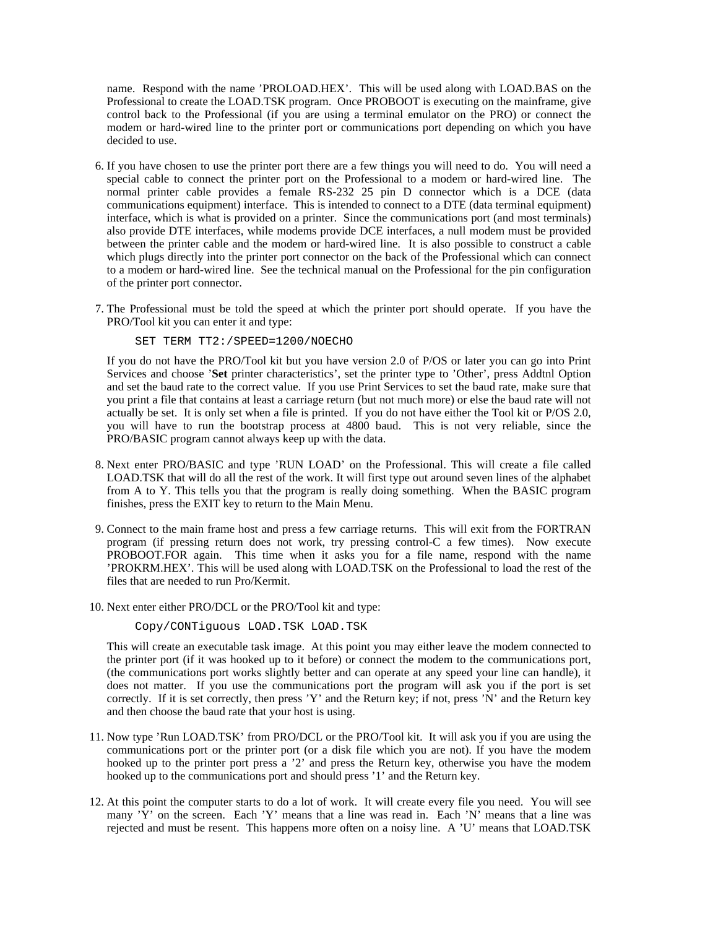name. Respond with the name 'PROLOAD.HEX'. This will be used along with LOAD.BAS on the Professional to create the LOAD.TSK program. Once PROBOOT is executing on the mainframe, give control back to the Professional (if you are using a terminal emulator on the PRO) or connect the modem or hard-wired line to the printer port or communications port depending on which you have decided to use.

- 6. If you have chosen to use the printer port there are a few things you will need to do. You will need a special cable to connect the printer port on the Professional to a modem or hard-wired line. The normal printer cable provides a female RS-232 25 pin D connector which is a DCE (data communications equipment) interface. This is intended to connect to a DTE (data terminal equipment) interface, which is what is provided on a printer. Since the communications port (and most terminals) also provide DTE interfaces, while modems provide DCE interfaces, a null modem must be provided between the printer cable and the modem or hard-wired line. It is also possible to construct a cable which plugs directly into the printer port connector on the back of the Professional which can connect to a modem or hard-wired line. See the technical manual on the Professional for the pin configuration of the printer port connector.
- 7. The Professional must be told the speed at which the printer port should operate. If you have the PRO/Tool kit you can enter it and type:

SET TERM TT2:/SPEED=1200/NOECHO

If you do not have the PRO/Tool kit but you have version 2.0 of P/OS or later you can go into Print Services and choose '**Set** printer characteristics', set the printer type to 'Other', press Addtnl Option and set the baud rate to the correct value. If you use Print Services to set the baud rate, make sure that you print a file that contains at least a carriage return (but not much more) or else the baud rate will not actually be set. It is only set when a file is printed. If you do not have either the Tool kit or P/OS 2.0, you will have to run the bootstrap process at 4800 baud. This is not very reliable, since the PRO/BASIC program cannot always keep up with the data.

- 8. Next enter PRO/BASIC and type 'RUN LOAD' on the Professional. This will create a file called LOAD.TSK that will do all the rest of the work. It will first type out around seven lines of the alphabet from A to Y. This tells you that the program is really doing something. When the BASIC program finishes, press the EXIT key to return to the Main Menu.
- 9. Connect to the main frame host and press a few carriage returns. This will exit from the FORTRAN program (if pressing return does not work, try pressing control-C a few times). Now execute PROBOOT.FOR again. This time when it asks you for a file name, respond with the name 'PROKRM.HEX'. This will be used along with LOAD.TSK on the Professional to load the rest of the files that are needed to run Pro/Kermit.
- 10. Next enter either PRO/DCL or the PRO/Tool kit and type:

Copy/CONTiguous LOAD.TSK LOAD.TSK

This will create an executable task image. At this point you may either leave the modem connected to the printer port (if it was hooked up to it before) or connect the modem to the communications port, (the communications port works slightly better and can operate at any speed your line can handle), it does not matter. If you use the communications port the program will ask you if the port is set correctly. If it is set correctly, then press 'Y' and the Return key; if not, press 'N' and the Return key and then choose the baud rate that your host is using.

- 11. Now type 'Run LOAD.TSK' from PRO/DCL or the PRO/Tool kit. It will ask you if you are using the communications port or the printer port (or a disk file which you are not). If you have the modem hooked up to the printer port press a '2' and press the Return key, otherwise you have the modem hooked up to the communications port and should press '1' and the Return key.
- 12. At this point the computer starts to do a lot of work. It will create every file you need. You will see many 'Y' on the screen. Each 'Y' means that a line was read in. Each 'N' means that a line was rejected and must be resent. This happens more often on a noisy line. A 'U' means that LOAD.TSK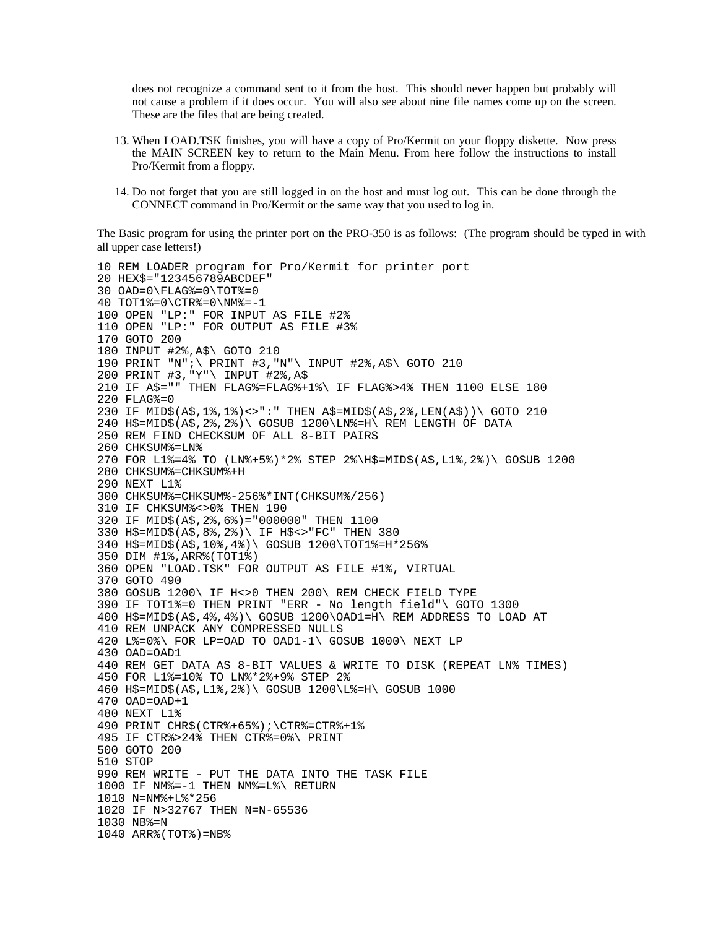does not recognize a command sent to it from the host. This should never happen but probably will not cause a problem if it does occur. You will also see about nine file names come up on the screen. These are the files that are being created.

- 13. When LOAD.TSK finishes, you will have a copy of Pro/Kermit on your floppy diskette. Now press the MAIN SCREEN key to return to the Main Menu. From here follow the instructions to install Pro/Kermit from a floppy.
- 14. Do not forget that you are still logged in on the host and must log out. This can be done through the CONNECT command in Pro/Kermit or the same way that you used to log in.

The Basic program for using the printer port on the PRO-350 is as follows: (The program should be typed in with all upper case letters!)

```
10 REM LOADER program for Pro/Kermit for printer port
20 HEX$="123456789ABCDEF"
30 OAD=0\FLAG%=0\TOT%=0
40 TOT1%=0\CTR%=0\NM%=-1
100 OPEN "LP:" FOR INPUT AS FILE #2%
110 OPEN "LP:" FOR OUTPUT AS FILE #3%
170 GOTO 200
180 INPUT #2%,A$\ GOTO 210
190 PRINT "N";\ PRINT #3,"N"\ INPUT #2%,A$\ GOTO 210
200 PRINT #3,"Y"\ INPUT #2%,A$
210 IF A$="" THEN FLAG%=FLAG%+1%\ IF FLAG%>4% THEN 1100 ELSE 180
220 FLAG%=0
230 IF MID$(A$,1%,1%)<>":" THEN A$=MID$(A$,2%,LEN(A$))\ GOTO 210
240 H$=MID$(A$,2%,2%)\ GOSUB 1200\LN%=H\ REM LENGTH OF DATA
250 REM FIND CHECKSUM OF ALL 8-BIT PAIRS
260 CHKSUM%=LN%
270 FOR L1%=4% TO (LN%+5%)*2% STEP 2%\H$=MID$(A$,L1%,2%)\ GOSUB 1200
280 CHKSUM%=CHKSUM%+H
290 NEXT L1%
300 CHKSUM%=CHKSUM%-256%*INT(CHKSUM%/256)
310 IF CHKSUM%<>0% THEN 190
320 IF MID$(A$,2%,6%)="000000" THEN 1100
330 H$=MID$(A$,8%,2%)\ IF H$<>"FC" THEN 380
340 H$=MID$(A$,10%,4%)\ GOSUB 1200\TOT1%=H*256%
350 DIM #1%,ARR%(TOT1%)
360 OPEN "LOAD.TSK" FOR OUTPUT AS FILE #1%, VIRTUAL
370 GOTO 490
380 GOSUB 1200\ IF H<>0 THEN 200\ REM CHECK FIELD TYPE
390 IF TOT1%=0 THEN PRINT "ERR - No length field"\ GOTO 1300
400 H$=MID$(A$,4%,4%)\ GOSUB 1200\OAD1=H\ REM ADDRESS TO LOAD AT
410 REM UNPACK ANY COMPRESSED NULLS
420 L%=0%\ FOR LP=OAD TO OAD1-1\ GOSUB 1000\ NEXT LP
430 OAD=OAD1
440 REM GET DATA AS 8-BIT VALUES & WRITE TO DISK (REPEAT LN% TIMES)
450 FOR L1%=10% TO LN%*2%+9% STEP 2%
460 H$=MID$(A$,L1%,2%)\ GOSUB 1200\L%=H\ GOSUB 1000
470 OAD=OAD+1
480 NEXT L1%
490 PRINT CHR$(CTR%+65%);\CTR%=CTR%+1%
495 IF CTR%>24% THEN CTR%=0%\ PRINT
500 GOTO 200
510 STOP
990 REM WRITE - PUT THE DATA INTO THE TASK FILE
1000 IF NM%=-1 THEN NM%=L%\ RETURN
1010 N=NM%+L%*256
1020 IF N>32767 THEN N=N-65536
1030 NB%=N
1040 ARR%(TOT%)=NB%
```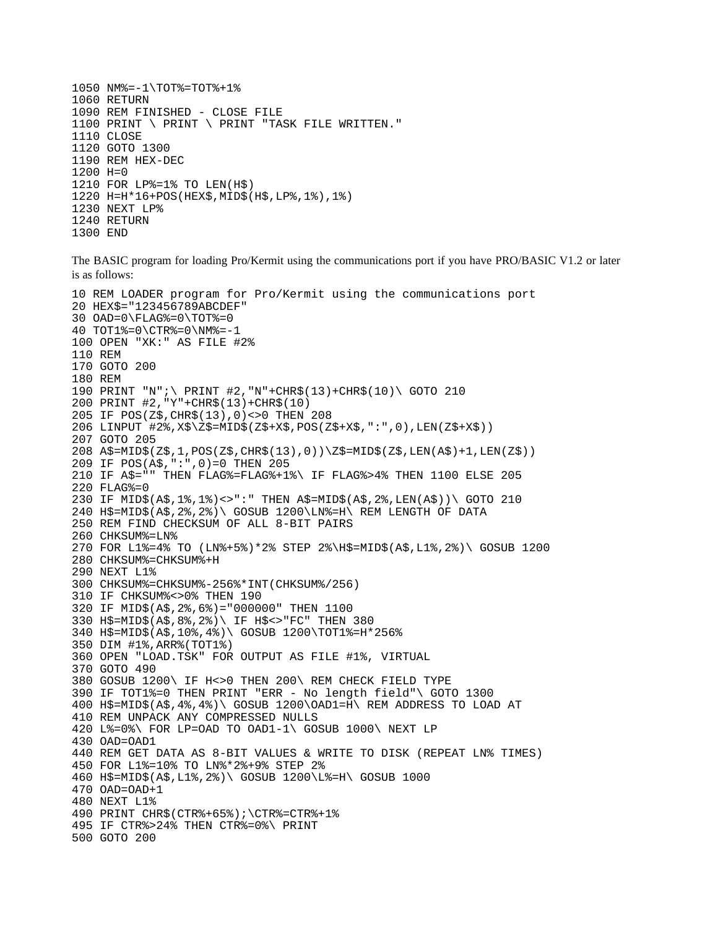```
1050 NM%=-1\TOT%=TOT%+1%
1060 RETURN
1090 REM FINISHED - CLOSE FILE
1100 PRINT \ PRINT \ PRINT "TASK FILE WRITTEN."
1110 CLOSE
1120 GOTO 1300
1190 REM HEX-DEC
1200 H=0
1210 FOR LP%=1% TO LEN(H$)
1220 H=H*16+POS(HEX$,MID$(H$,LP%,1%),1%)
1230 NEXT LP%
1240 RETURN
1300 END
```
The BASIC program for loading Pro/Kermit using the communications port if you have PRO/BASIC V1.2 or later is as follows:

```
10 REM LOADER program for Pro/Kermit using the communications port
20 HEX$="123456789ABCDEF"
30 OAD=0\FLAG%=0\TOT%=0
40 TOT1%=0\CTR%=0\NM%=-1
100 OPEN "XK:" AS FILE #2%
110 REM
170 GOTO 200
180 REM
190 PRINT "N";\ PRINT #2,"N"+CHR$(13)+CHR$(10)\ GOTO 210
200 PRINT #2,"Y"+CHR$(13)+CHR$(10)
205 IF POS(Z$,CHR$(13),0)<>0 THEN 208
206 LINPUT #2%,X$\Z$=MID$(Z$+X$,POS(Z$+X$,":",0),LEN(Z$+X$))
207 GOTO 205
208 A$=MID$(Z$,1,POS(Z$,CHR$(13),0))\Z$=MID$(Z$,LEN(A$)+1,LEN(Z$))
209 IF POS(A$,":",0)=0 THEN 205
210 IF A$="" THEN FLAG%=FLAG%+1%\ IF FLAG%>4% THEN 1100 ELSE 205
220 FLAG%=0
230 IF MID$(A$,1%,1%)<>":" THEN A$=MID$(A$,2%,LEN(A$))\ GOTO 210
240 H$=MID$(A$,2%,2%)\ GOSUB 1200\LN%=H\ REM LENGTH OF DATA
250 REM FIND CHECKSUM OF ALL 8-BIT PAIRS
260 CHKSUM%=LN%
270 FOR L1%=4% TO (LN%+5%)*2% STEP 2%\H$=MID$(A$,L1%,2%)\ GOSUB 1200
280 CHKSUM%=CHKSUM%+H
290 NEXT L1%
300 CHKSUM%=CHKSUM%-256%*INT(CHKSUM%/256)
310 IF CHKSUM%<>0% THEN 190
320 IF MID$(A$,2%,6%)="000000" THEN 1100
330 H$=MID$(A$,8%,2%)\ IF H$<>"FC" THEN 380
340 H$=MID$(A$,10%,4%)\ GOSUB 1200\TOT1%=H*256%
350 DIM #1%,ARR%(TOT1%)
360 OPEN "LOAD.TSK" FOR OUTPUT AS FILE #1%, VIRTUAL
370 GOTO 490
380 GOSUB 1200\ IF H<>0 THEN 200\ REM CHECK FIELD TYPE
390 IF TOT1%=0 THEN PRINT "ERR - No length field"\ GOTO 1300
400 H$=MID$(A$,4%,4%)\ GOSUB 1200\OAD1=H\ REM ADDRESS TO LOAD AT
410 REM UNPACK ANY COMPRESSED NULLS
420 L%=0%\ FOR LP=OAD TO OAD1-1\ GOSUB 1000\ NEXT LP
430 OAD=OAD1
440 REM GET DATA AS 8-BIT VALUES & WRITE TO DISK (REPEAT LN% TIMES)
450 FOR L1%=10% TO LN%*2%+9% STEP 2%
460 H$=MID$(A$,L1%,2%)\ GOSUB 1200\L%=H\ GOSUB 1000
470 OAD=OAD+1
480 NEXT L1%
490 PRINT CHR$(CTR%+65%);\CTR%=CTR%+1%
495 IF CTR%>24% THEN CTR%=0%\ PRINT
500 GOTO 200
```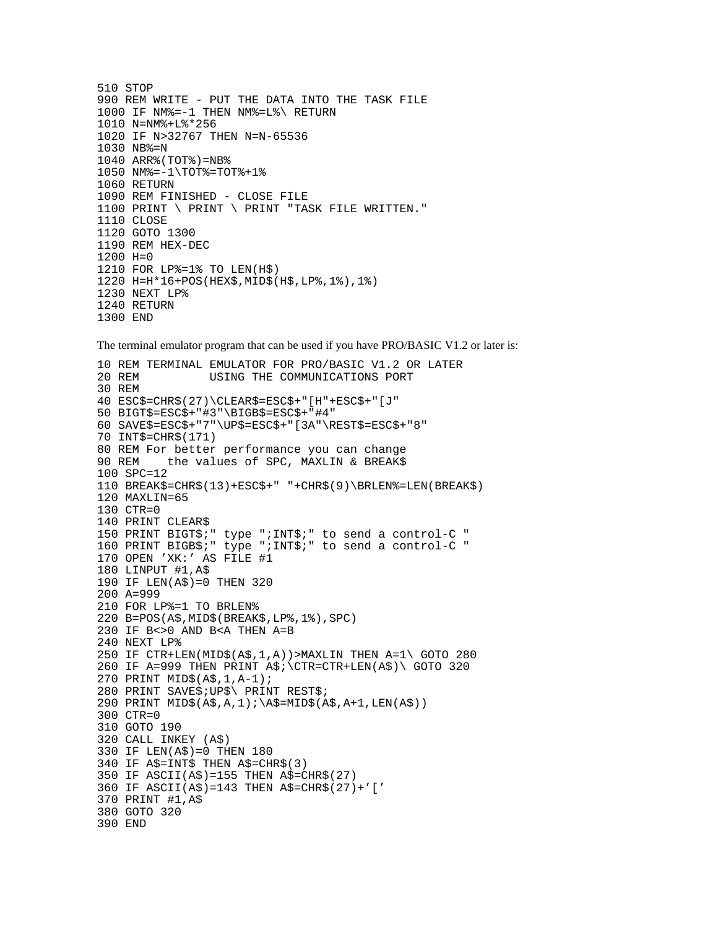```
510 STOP
990 REM WRITE - PUT THE DATA INTO THE TASK FILE
1000 IF NM%=-1 THEN NM%=L%\ RETURN
1010 N=NM%+L%*256
1020 IF N>32767 THEN N=N-65536
1030 NB%=N
1040 ARR%(TOT%)=NB%
1050 NM%=-1\TOT%=TOT%+1%
1060 RETURN
1090 REM FINISHED - CLOSE FILE
1100 PRINT \ PRINT \ PRINT "TASK FILE WRITTEN."
1110 CLOSE
1120 GOTO 1300
1190 REM HEX-DEC
1200 H=0
1210 FOR LP%=1% TO LEN(H$)
1220 H=H*16+POS(HEX$,MID$(H$,LP%,1%),1%)
1230 NEXT LP%
1240 RETURN
1300 END
```
The terminal emulator program that can be used if you have PRO/BASIC V1.2 or later is:

```
10 REM TERMINAL EMULATOR FOR PRO/BASIC V1.2 OR LATER
20 REM USING THE COMMUNICATIONS PORT
30 REM
40 ESC$=CHR$(27)\CLEAR$=ESC$+"[H"+ESC$+"[J"
50 BIGT$=ESC$+"#3"\BIGB$=ESC$+"#4"
60 SAVE$=ESC$+"7"\UP$=ESC$+"[3A"\REST$=ESC$+"8"
70 INT$=CHR$(171)
80 REM For better performance you can change
90 REM the values of SPC, MAXLIN & BREAK$
100 SPC=12
110 BREAK$=CHR$(13)+ESC$+" "+CHR$(9)\BRLEN%=LEN(BREAK$)
120 MAXLIN=65
130 CTR=0
140 PRINT CLEAR$
150 PRINT BIGT$;" type ";INT$;" to send a control-C "
160 PRINT BIGB$;" type ";INT$;" to send a control-C "
170 OPEN 'XK:' AS FILE #1
180 LINPUT #1,A$
190 IF LEN(A$)=0 THEN 320
200 A=999
210 FOR LP%=1 TO BRLEN%
220 B=POS(A$,MID$(BREAK$,LP%,1%),SPC)
230 IF B<>0 AND B<A THEN A=B
240 NEXT LP%
250 IF CTR+LEN(MID$(A$,1,A))>MAXLIN THEN A=1\ GOTO 280
260 IF A=999 THEN PRINT A$; \CTR=CTR+LEN(A$)\ GOTO 320
270 PRINT MID$(A$,1,A-1);
280 PRINT SAVE$;UP$\ PRINT REST$;
290 PRINT MID$(A$,A,1);\A$=MID$(A$,A+1,LEN(A$))
300 CTR=0
310 GOTO 190
320 CALL INKEY (A$)
330 IF LEN(A$)=0 THEN 180
340 IF A$=INT$ THEN A$=CHR$(3)
350 IF ASCII(A$)=155 THEN A$=CHR$(27)
360 IF ASCII(A$)=143 THEN A$=CHR$(27)+'['
370 PRINT #1,A$
380 GOTO 320
390 END
```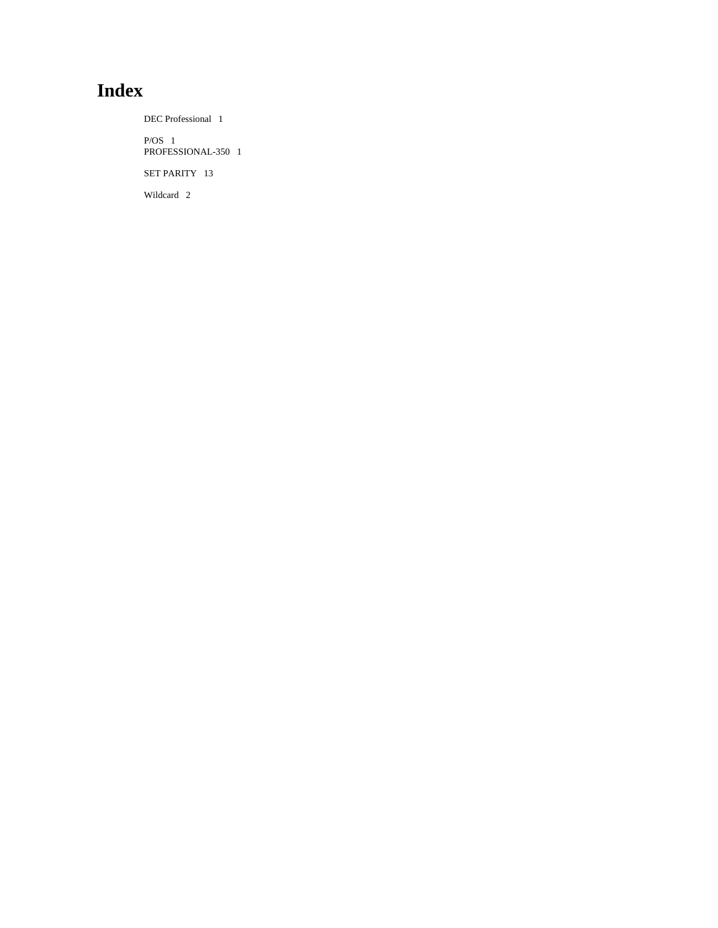# **Index**

DEC Professional 1 P/OS 1 PROFESSIONAL-350 1 SET PARITY 13 Wildcard 2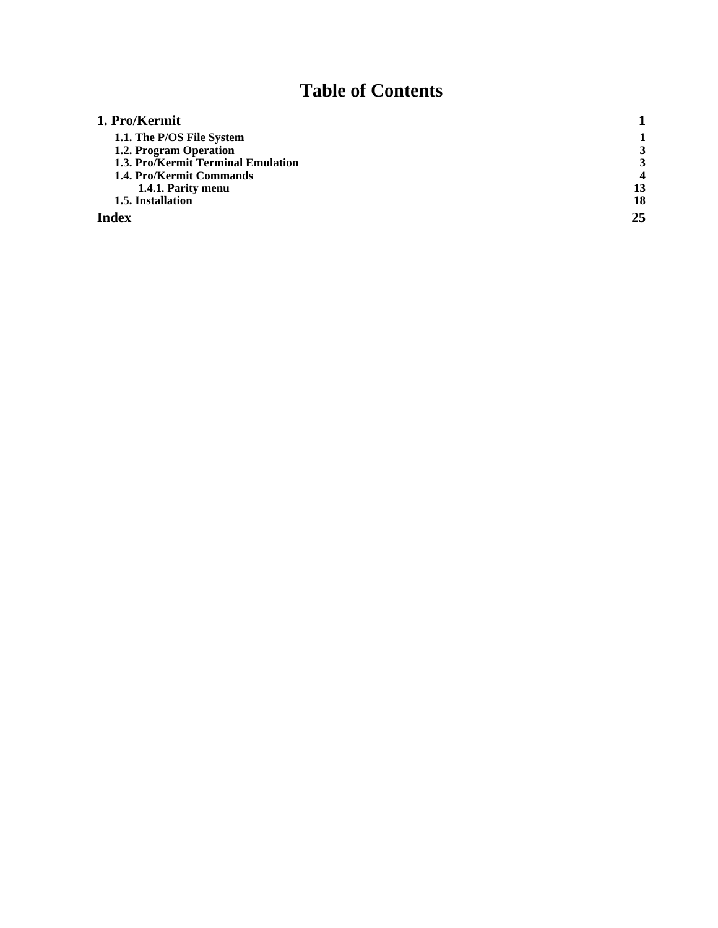# **Table of Contents**

| 1. Pro/Kermit                      |    |
|------------------------------------|----|
| 1.1. The P/OS File System          |    |
| 1.2. Program Operation             |    |
| 1.3. Pro/Kermit Terminal Emulation |    |
| 1.4. Pro/Kermit Commands           |    |
| 1.4.1. Parity menu                 | 13 |
| 1.5. Installation                  | 18 |
| Index                              | 25 |